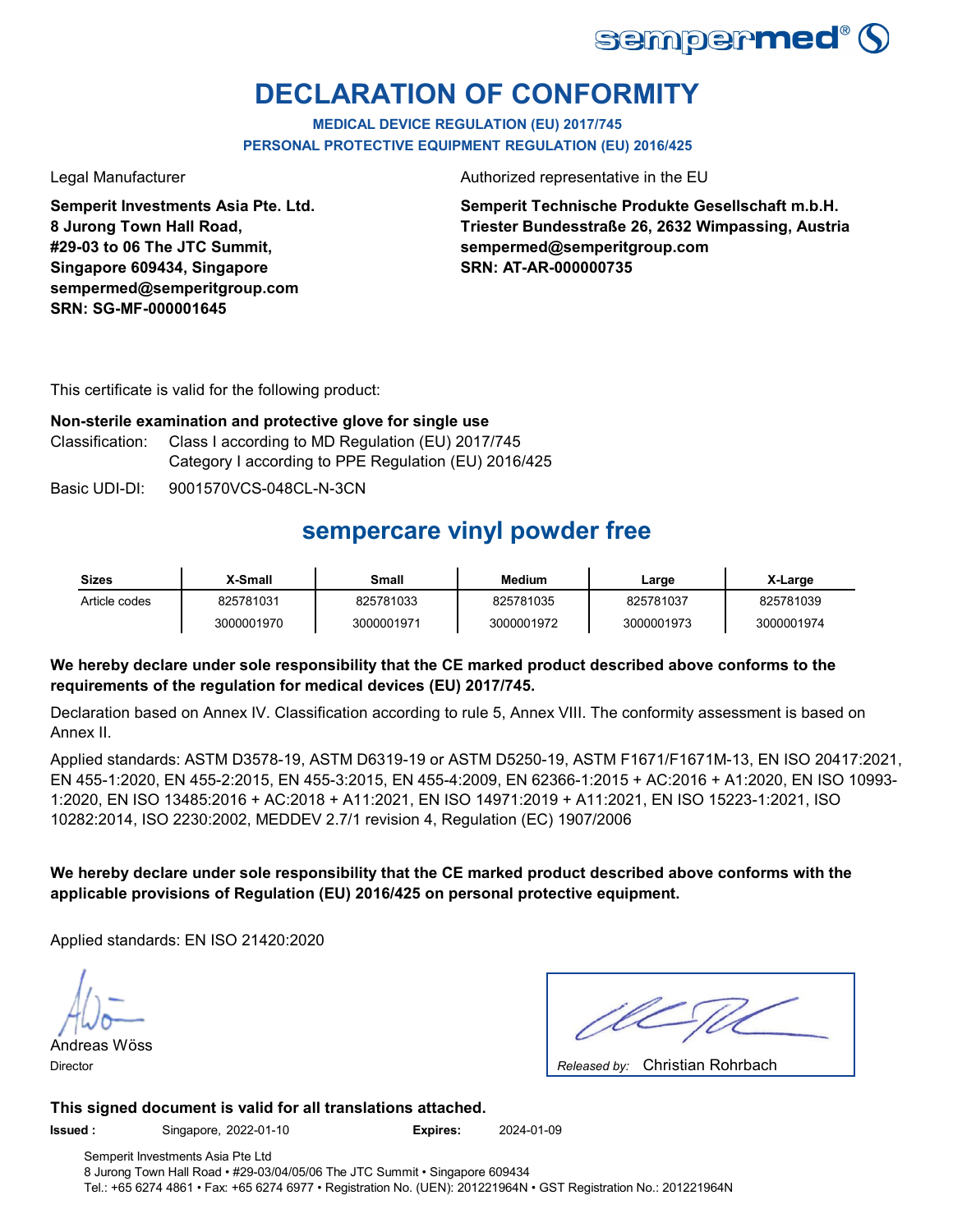

# **DECLARATION OF CONFORMITY**

**MEDICAL DEVICE REGULATION (EU) 2017/745 PERSONAL PROTECTIVE EQUIPMENT REGULATION (EU) 2016/425**

**Semperit Investments Asia Pte. Ltd. 8 Jurong Town Hall Road, #29-03 to 06 The JTC Summit, Singapore 609434, Singapore sempermed@semperitgroup.com SRN: SG-MF-000001645**

Legal Manufacturer **Authorized representative in the EU** 

**Semperit Technische Produkte Gesellschaft m.b.H. Triester Bundesstraße 26, 2632 Wimpassing, Austria sempermed@semperitgroup.com SRN: AT-AR-000000735**

This certificate is valid for the following product:

### **Non-sterile examination and protective glove for single use**

Classification: Class I according to MD Regulation (EU) 2017/745 Category I according to PPE Regulation (EU) 2016/425

Basic UDI-DI: 9001570VCS-048CL-N-3CN

## **sempercare vinyl powder free**

| <b>Sizes</b>  | X-Small    | Small      | Medium     | Large      | X-Large    |
|---------------|------------|------------|------------|------------|------------|
| Article codes | 825781031  | 825781033  | 825781035  | 825781037  | 825781039  |
|               | 3000001970 | 3000001971 | 3000001972 | 3000001973 | 3000001974 |

### **We hereby declare under sole responsibility that the CE marked product described above conforms to the requirements of the regulation for medical devices (EU) 2017/745.**

Declaration based on Annex IV. Classification according to rule 5, Annex VIII. The conformity assessment is based on Annex II.

Applied standards: ASTM D3578-19, ASTM D6319-19 or ASTM D5250-19, ASTM F1671/F1671M-13, EN ISO 20417:2021, EN 455-1:2020, EN 455-2:2015, EN 455-3:2015, EN 455-4:2009, EN 62366-1:2015 + AC:2016 + A1:2020, EN ISO 10993- 1:2020, EN ISO 13485:2016 + AC:2018 + A11:2021, EN ISO 14971:2019 + A11:2021, EN ISO 15223-1:2021, ISO 10282:2014, ISO 2230:2002, MEDDEV 2.7/1 revision 4, Regulation (EC) 1907/2006

### **We hereby declare under sole responsibility that the CE marked product described above conforms with the applicable provisions of Regulation (EU) 2016/425 on personal protective equipment.**

Applied standards: EN ISO 21420:2020

Andreas Wöss Director **Released by: Released by: Released by: Released by: Released by: Released by: Released by: Released by: Released by: Released by: Released by: Released by: Released by: Released by: Re** 

Christian Rohrbach

#### **This signed document is valid for all translations attached.**

**Issued :** Singapore, 2022-01-10 **Expires:** 2024-01-09

Semperit Investments Asia Pte Ltd 8 Jurong Town Hall Road • #29-03/04/05/06 The JTC Summit • Singapore 609434 Tel.: +65 6274 4861 • Fax: +65 6274 6977 • Registration No. (UEN): 201221964N • GST Registration No.: 201221964N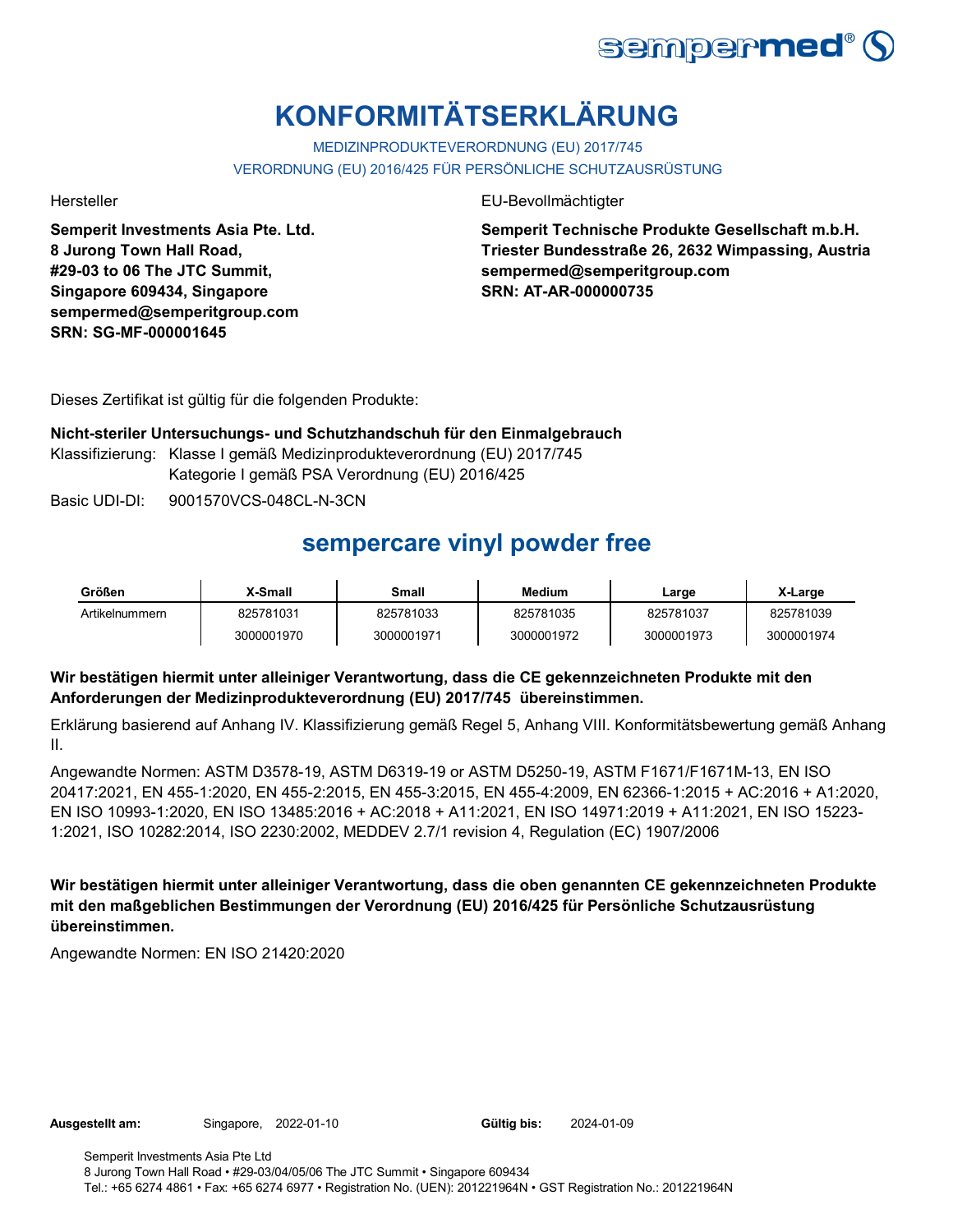

# **KONFORMITÄTSERKLÄRUNG**

MEDIZINPRODUKTEVERORDNUNG (EU) 2017/745 VERORDNUNG (EU) 2016/425 FÜR PERSÖNLICHE SCHUTZAUSRÜSTUNG

**Semperit Investments Asia Pte. Ltd. 8 Jurong Town Hall Road, #29-03 to 06 The JTC Summit, Singapore 609434, Singapore sempermed@semperitgroup.com SRN: SG-MF-000001645**

Hersteller EU-Bevollmächtigter

**Semperit Technische Produkte Gesellschaft m.b.H. Triester Bundesstraße 26, 2632 Wimpassing, Austria sempermed@semperitgroup.com SRN: AT-AR-000000735**

Dieses Zertifikat ist gültig für die folgenden Produkte:

**Nicht-steriler Untersuchungs- und Schutzhandschuh für den Einmalgebrauch** Klassifizierung: Klasse I gemäß Medizinprodukteverordnung (EU) 2017/745 Kategorie I gemäß PSA Verordnung (EU) 2016/425

Basic UDI-DI: 9001570VCS-048CL-N-3CN

## **sempercare vinyl powder free**

| Größen         | X-Small    | Small      | Medium     | Large      | X-Large    |
|----------------|------------|------------|------------|------------|------------|
| Artikelnummern | 825781031  | 825781033  | 825781035  | 825781037  | 825781039  |
|                | 3000001970 | 3000001971 | 3000001972 | 3000001973 | 3000001974 |

### **Wir bestätigen hiermit unter alleiniger Verantwortung, dass die CE gekennzeichneten Produkte mit den Anforderungen der Medizinprodukteverordnung (EU) 2017/745 übereinstimmen.**

Erklärung basierend auf Anhang IV. Klassifizierung gemäß Regel 5, Anhang VIII. Konformitätsbewertung gemäß Anhang II.

Angewandte Normen: ASTM D3578-19, ASTM D6319-19 or ASTM D5250-19, ASTM F1671/F1671M-13, EN ISO 20417:2021, EN 455-1:2020, EN 455-2:2015, EN 455-3:2015, EN 455-4:2009, EN 62366-1:2015 + AC:2016 + A1:2020, EN ISO 10993-1:2020, EN ISO 13485:2016 + AC:2018 + A11:2021, EN ISO 14971:2019 + A11:2021, EN ISO 15223- 1:2021, ISO 10282:2014, ISO 2230:2002, MEDDEV 2.7/1 revision 4, Regulation (EC) 1907/2006

**Wir bestätigen hiermit unter alleiniger Verantwortung, dass die oben genannten CE gekennzeichneten Produkte mit den maßgeblichen Bestimmungen der Verordnung (EU) 2016/425 für Persönliche Schutzausrüstung übereinstimmen.**

Angewandte Normen: EN ISO 21420:2020

Gültig bis: 2024-01-09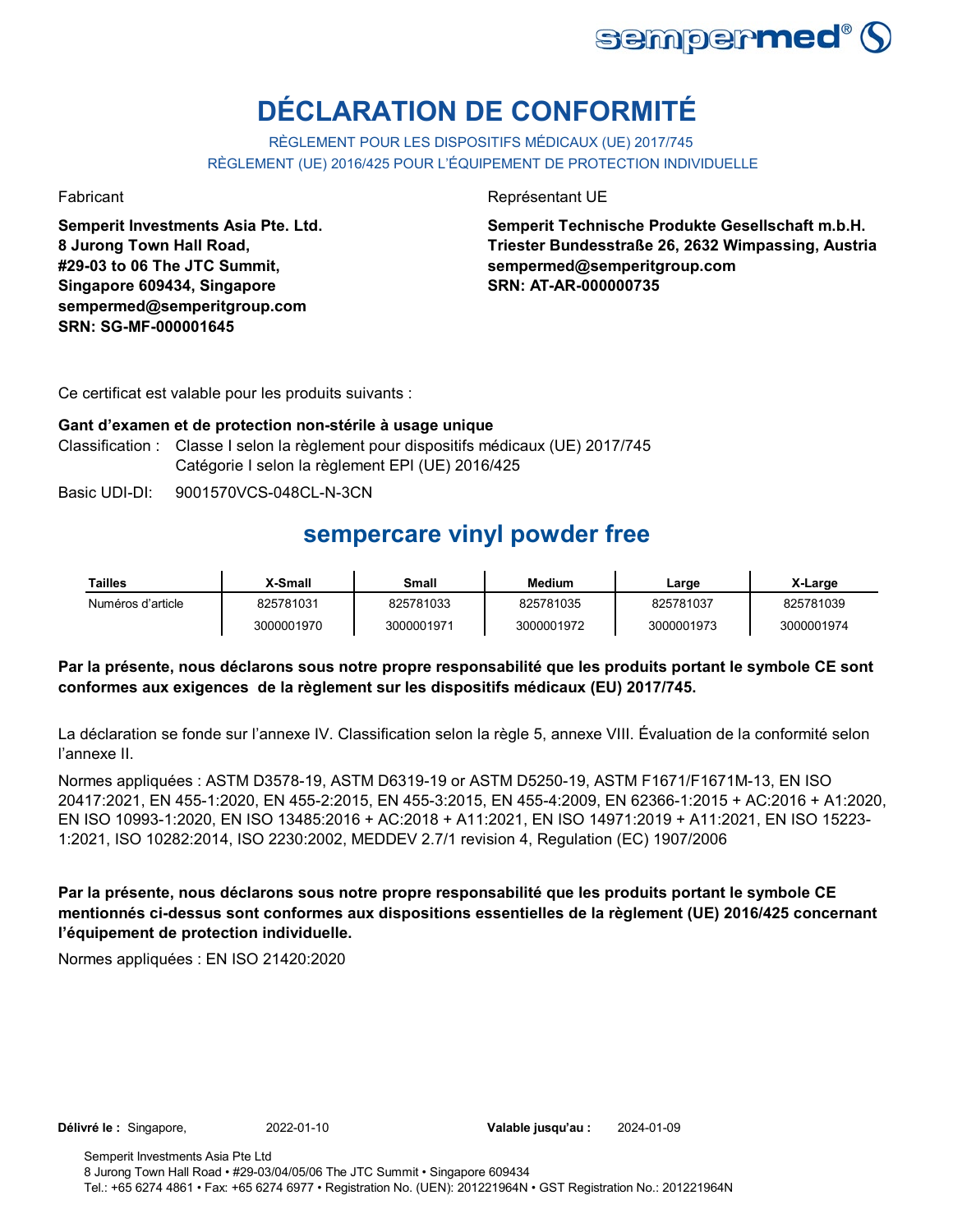

# **DÉCLARATION DE CONFORMITÉ**

RÈGLEMENT POUR LES DISPOSITIFS MÉDICAUX (UE) 2017/745 RÈGLEMENT (UE) 2016/425 POUR L'ÉQUIPEMENT DE PROTECTION INDIVIDUELLE

**Semperit Investments Asia Pte. Ltd. 8 Jurong Town Hall Road, #29-03 to 06 The JTC Summit, Singapore 609434, Singapore sempermed@semperitgroup.com SRN: SG-MF-000001645**

Fabricant **Représentant UE** 

**Semperit Technische Produkte Gesellschaft m.b.H. Triester Bundesstraße 26, 2632 Wimpassing, Austria sempermed@semperitgroup.com SRN: AT-AR-000000735**

Ce certificat est valable pour les produits suivants :

### **Gant d'examen et de protection non-stérile à usage unique** Classification : Classe I selon la règlement pour dispositifs médicaux (UE) 2017/745 Catégorie I selon la règlement EPI (UE) 2016/425

Basic UDI-DI: 9001570VCS-048CL-N-3CN

## **sempercare vinyl powder free**

| Tailles           | <b>X-Small</b> | Small      | Medium     | ∟arge      | X-Large    |
|-------------------|----------------|------------|------------|------------|------------|
| Numéros d'article | 825781031      | 825781033  | 825781035  | 825781037  | 825781039  |
|                   | 3000001970     | 3000001971 | 3000001972 | 3000001973 | 3000001974 |

### **Par la présente, nous déclarons sous notre propre responsabilité que les produits portant le symbole CE sont conformes aux exigences de la règlement sur les dispositifs médicaux (EU) 2017/745.**

La déclaration se fonde sur l'annexe IV. Classification selon la règle 5, annexe VIII. Évaluation de la conformité selon l'annexe II.

Normes appliquées : ASTM D3578-19, ASTM D6319-19 or ASTM D5250-19, ASTM F1671/F1671M-13, EN ISO 20417:2021, EN 455-1:2020, EN 455-2:2015, EN 455-3:2015, EN 455-4:2009, EN 62366-1:2015 + AC:2016 + A1:2020, EN ISO 10993-1:2020, EN ISO 13485:2016 + AC:2018 + A11:2021, EN ISO 14971:2019 + A11:2021, EN ISO 15223- 1:2021, ISO 10282:2014, ISO 2230:2002, MEDDEV 2.7/1 revision 4, Regulation (EC) 1907/2006

**Par la présente, nous déclarons sous notre propre responsabilité que les produits portant le symbole CE mentionnés ci-dessus sont conformes aux dispositions essentielles de la règlement (UE) 2016/425 concernant l'équipement de protection individuelle.**

Normes appliquées : EN ISO 21420:2020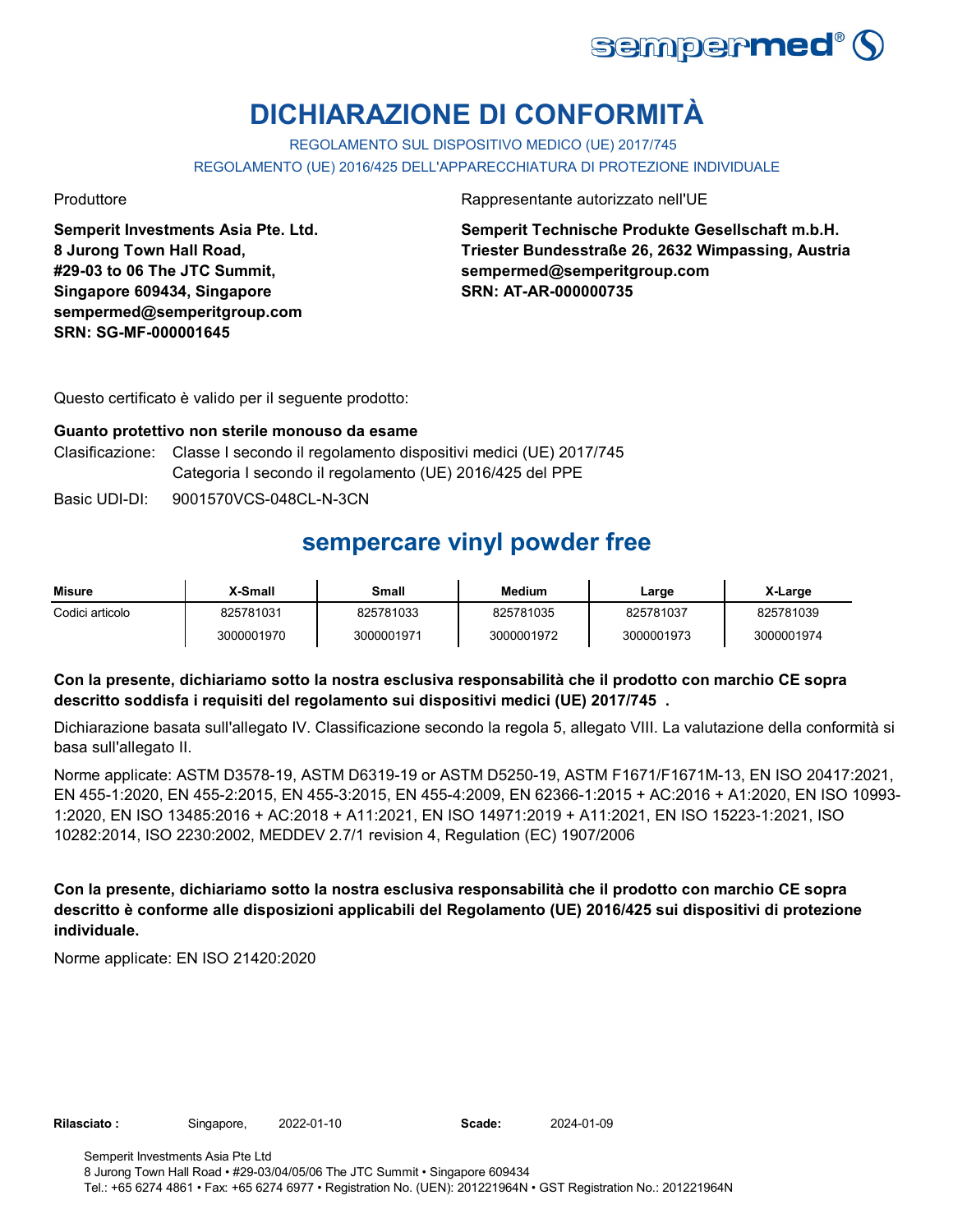

# **DICHIARAZIONE DI CONFORMITÀ**

REGOLAMENTO SUL DISPOSITIVO MEDICO (UE) 2017/745 REGOLAMENTO (UE) 2016/425 DELL'APPARECCHIATURA DI PROTEZIONE INDIVIDUALE

**Semperit Investments Asia Pte. Ltd. 8 Jurong Town Hall Road, #29-03 to 06 The JTC Summit, Singapore 609434, Singapore sempermed@semperitgroup.com SRN: SG-MF-000001645**

Produttore **Rappresentante autorizzato nell'UE** 

**Semperit Technische Produkte Gesellschaft m.b.H. Triester Bundesstraße 26, 2632 Wimpassing, Austria sempermed@semperitgroup.com SRN: AT-AR-000000735**

Questo certificato è valido per il seguente prodotto:

### **Guanto protettivo non sterile monouso da esame**

- Clasificazione: Classe I secondo il regolamento dispositivi medici (UE) 2017/745 Categoria I secondo il regolamento (UE) 2016/425 del PPE
- Basic UDI-DI: 9001570VCS-048CL-N-3CN

## **sempercare vinyl powder free**

| <b>Misure</b>   | X-Small    | Small      | Medium     | Large      | X-Large    |
|-----------------|------------|------------|------------|------------|------------|
| Codici articolo | 825781031  | 825781033  | 825781035  | 825781037  | 825781039  |
|                 | 3000001970 | 3000001971 | 3000001972 | 3000001973 | 3000001974 |

### **Con la presente, dichiariamo sotto la nostra esclusiva responsabilità che il prodotto con marchio CE sopra descritto soddisfa i requisiti del regolamento sui dispositivi medici (UE) 2017/745 .**

Dichiarazione basata sull'allegato IV. Classificazione secondo la regola 5, allegato VIII. La valutazione della conformità si basa sull'allegato II.

Norme applicate: ASTM D3578-19, ASTM D6319-19 or ASTM D5250-19, ASTM F1671/F1671M-13, EN ISO 20417:2021, EN 455-1:2020, EN 455-2:2015, EN 455-3:2015, EN 455-4:2009, EN 62366-1:2015 + AC:2016 + A1:2020, EN ISO 10993- 1:2020, EN ISO 13485:2016 + AC:2018 + A11:2021, EN ISO 14971:2019 + A11:2021, EN ISO 15223-1:2021, ISO 10282:2014, ISO 2230:2002, MEDDEV 2.7/1 revision 4, Regulation (EC) 1907/2006

**Con la presente, dichiariamo sotto la nostra esclusiva responsabilità che il prodotto con marchio CE sopra descritto è conforme alle disposizioni applicabili del Regolamento (UE) 2016/425 sui dispositivi di protezione individuale.**

Norme applicate: EN ISO 21420:2020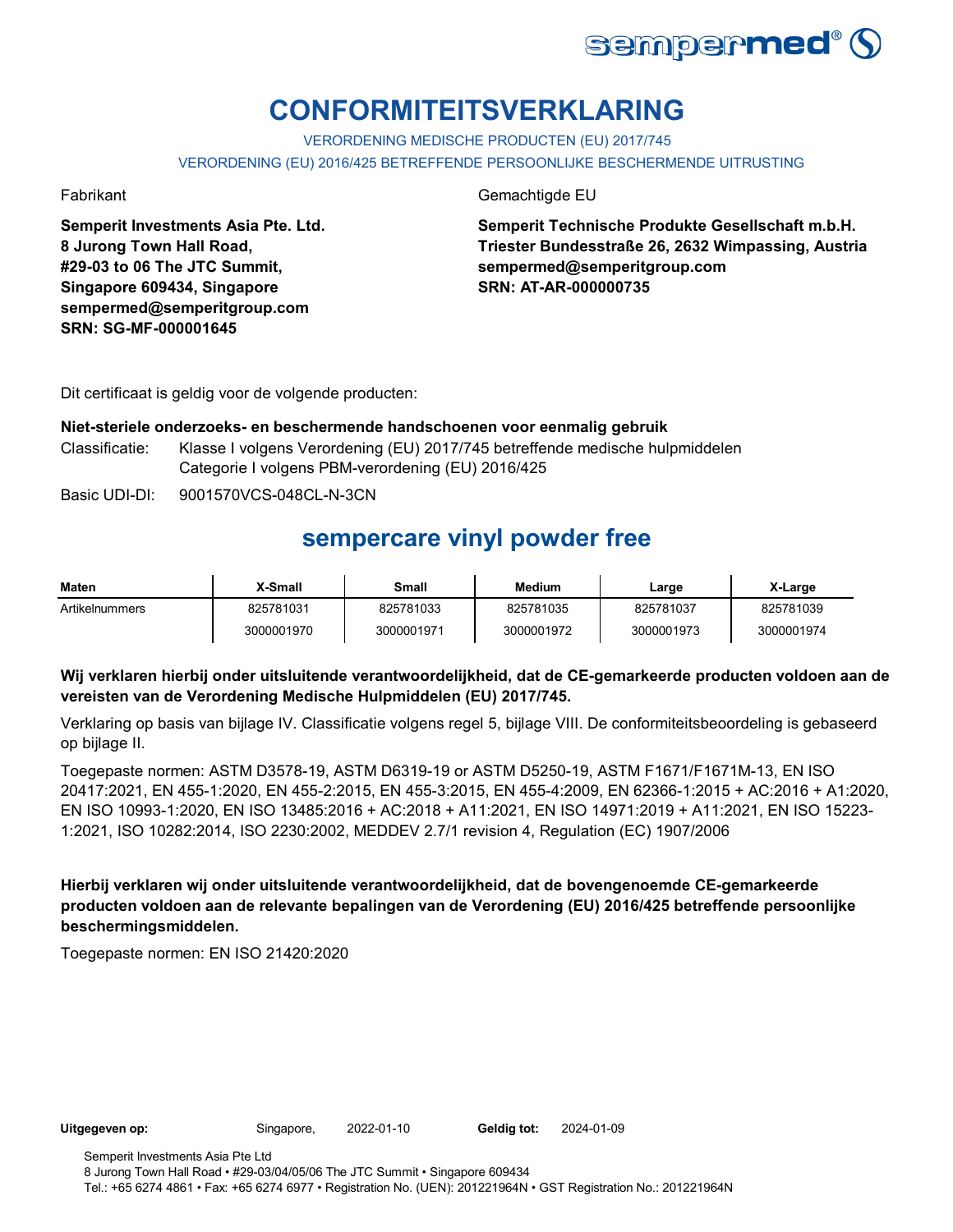

# **CONFORMITEITSVERKLARING**

VERORDENING MEDISCHE PRODUCTEN (EU) 2017/745 VERORDENING (EU) 2016/425 BETREFFENDE PERSOONLIJKE BESCHERMENDE UITRUSTING

**Semperit Investments Asia Pte. Ltd. 8 Jurong Town Hall Road, #29-03 to 06 The JTC Summit, Singapore 609434, Singapore sempermed@semperitgroup.com SRN: SG-MF-000001645**

Fabrikant Gemachtigde EU

**Semperit Technische Produkte Gesellschaft m.b.H. Triester Bundesstraße 26, 2632 Wimpassing, Austria sempermed@semperitgroup.com SRN: AT-AR-000000735**

Dit certificaat is geldig voor de volgende producten:

#### **Niet-steriele onderzoeks- en beschermende handschoenen voor eenmalig gebruik**

Classificatie: Klasse I volgens Verordening (EU) 2017/745 betreffende medische hulpmiddelen Categorie I volgens PBM-verordening (EU) 2016/425

Basic UDI-DI: 9001570VCS-048CL-N-3CN

### **sempercare vinyl powder free**

| Maten          | X-Small    | Small      | <b>Medium</b> | ∟arge      | X-Large    |
|----------------|------------|------------|---------------|------------|------------|
| Artikelnummers | 825781031  | 825781033  | 825781035     | 825781037  | 825781039  |
|                | 3000001970 | 3000001971 | 3000001972    | 3000001973 | 3000001974 |

### **Wij verklaren hierbij onder uitsluitende verantwoordelijkheid, dat de CE-gemarkeerde producten voldoen aan de vereisten van de Verordening Medische Hulpmiddelen (EU) 2017/745.**

Verklaring op basis van bijlage IV. Classificatie volgens regel 5, bijlage VIII. De conformiteitsbeoordeling is gebaseerd op bijlage II.

Toegepaste normen: ASTM D3578-19, ASTM D6319-19 or ASTM D5250-19, ASTM F1671/F1671M-13, EN ISO 20417:2021, EN 455-1:2020, EN 455-2:2015, EN 455-3:2015, EN 455-4:2009, EN 62366-1:2015 + AC:2016 + A1:2020, EN ISO 10993-1:2020, EN ISO 13485:2016 + AC:2018 + A11:2021, EN ISO 14971:2019 + A11:2021, EN ISO 15223- 1:2021, ISO 10282:2014, ISO 2230:2002, MEDDEV 2.7/1 revision 4, Regulation (EC) 1907/2006

**Hierbij verklaren wij onder uitsluitende verantwoordelijkheid, dat de bovengenoemde CE-gemarkeerde producten voldoen aan de relevante bepalingen van de Verordening (EU) 2016/425 betreffende persoonlijke beschermingsmiddelen.**

Toegepaste normen: EN ISO 21420:2020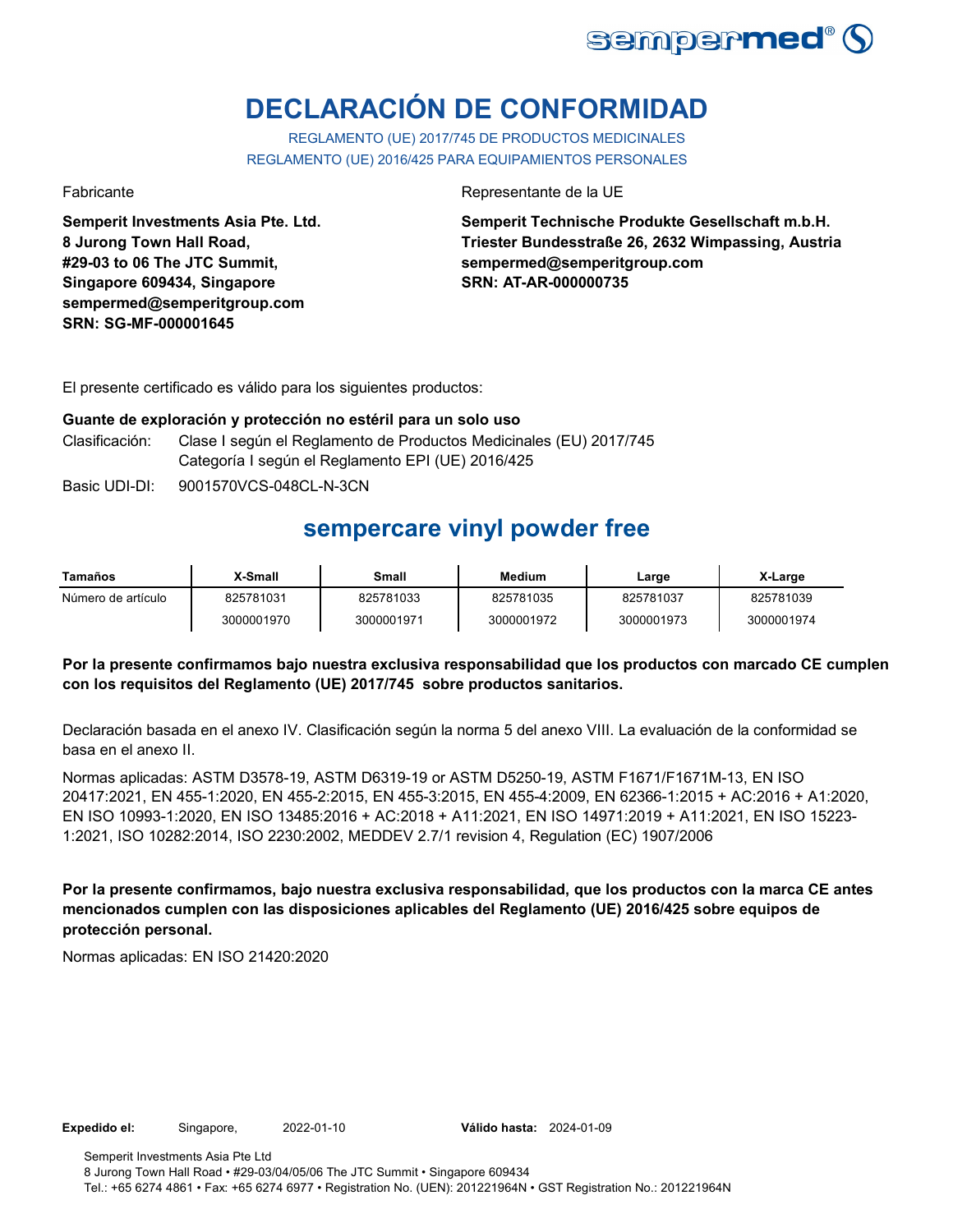

# **DECLARACIÓN DE CONFORMIDAD**

REGLAMENTO (UE) 2017/745 DE PRODUCTOS MEDICINALES REGLAMENTO (UE) 2016/425 PARA EQUIPAMIENTOS PERSONALES

**Semperit Investments Asia Pte. Ltd. 8 Jurong Town Hall Road, #29-03 to 06 The JTC Summit, Singapore 609434, Singapore sempermed@semperitgroup.com SRN: SG-MF-000001645**

Fabricante de la UE estado e a contra el estado en el Representante de la UE

**Semperit Technische Produkte Gesellschaft m.b.H. Triester Bundesstraße 26, 2632 Wimpassing, Austria sempermed@semperitgroup.com SRN: AT-AR-000000735**

El presente certificado es válido para los siguientes productos:

#### **Guante de exploración y protección no estéril para un solo uso**

- Clasificación: Clase I según el Reglamento de Productos Medicinales (EU) 2017/745 Categoría I según el Reglamento EPI (UE) 2016/425
- Basic UDI-DI: 9001570VCS-048CL-N-3CN

## **sempercare vinyl powder free**

| Tamaños            | X-Small    | Small      | Medium     | Large      | X-Large    |
|--------------------|------------|------------|------------|------------|------------|
| Número de artículo | 825781031  | 825781033  | 825781035  | 825781037  | 825781039  |
|                    | 3000001970 | 3000001971 | 3000001972 | 3000001973 | 3000001974 |

### **Por la presente confirmamos bajo nuestra exclusiva responsabilidad que los productos con marcado CE cumplen con los requisitos del Reglamento (UE) 2017/745 sobre productos sanitarios.**

Declaración basada en el anexo IV. Clasificación según la norma 5 del anexo VIII. La evaluación de la conformidad se basa en el anexo II.

Normas aplicadas: ASTM D3578-19, ASTM D6319-19 or ASTM D5250-19, ASTM F1671/F1671M-13, EN ISO 20417:2021, EN 455-1:2020, EN 455-2:2015, EN 455-3:2015, EN 455-4:2009, EN 62366-1:2015 + AC:2016 + A1:2020, EN ISO 10993-1:2020, EN ISO 13485:2016 + AC:2018 + A11:2021, EN ISO 14971:2019 + A11:2021, EN ISO 15223- 1:2021, ISO 10282:2014, ISO 2230:2002, MEDDEV 2.7/1 revision 4, Regulation (EC) 1907/2006

**Por la presente confirmamos, bajo nuestra exclusiva responsabilidad, que los productos con la marca CE antes mencionados cumplen con las disposiciones aplicables del Reglamento (UE) 2016/425 sobre equipos de protección personal.**

Normas aplicadas: EN ISO 21420:2020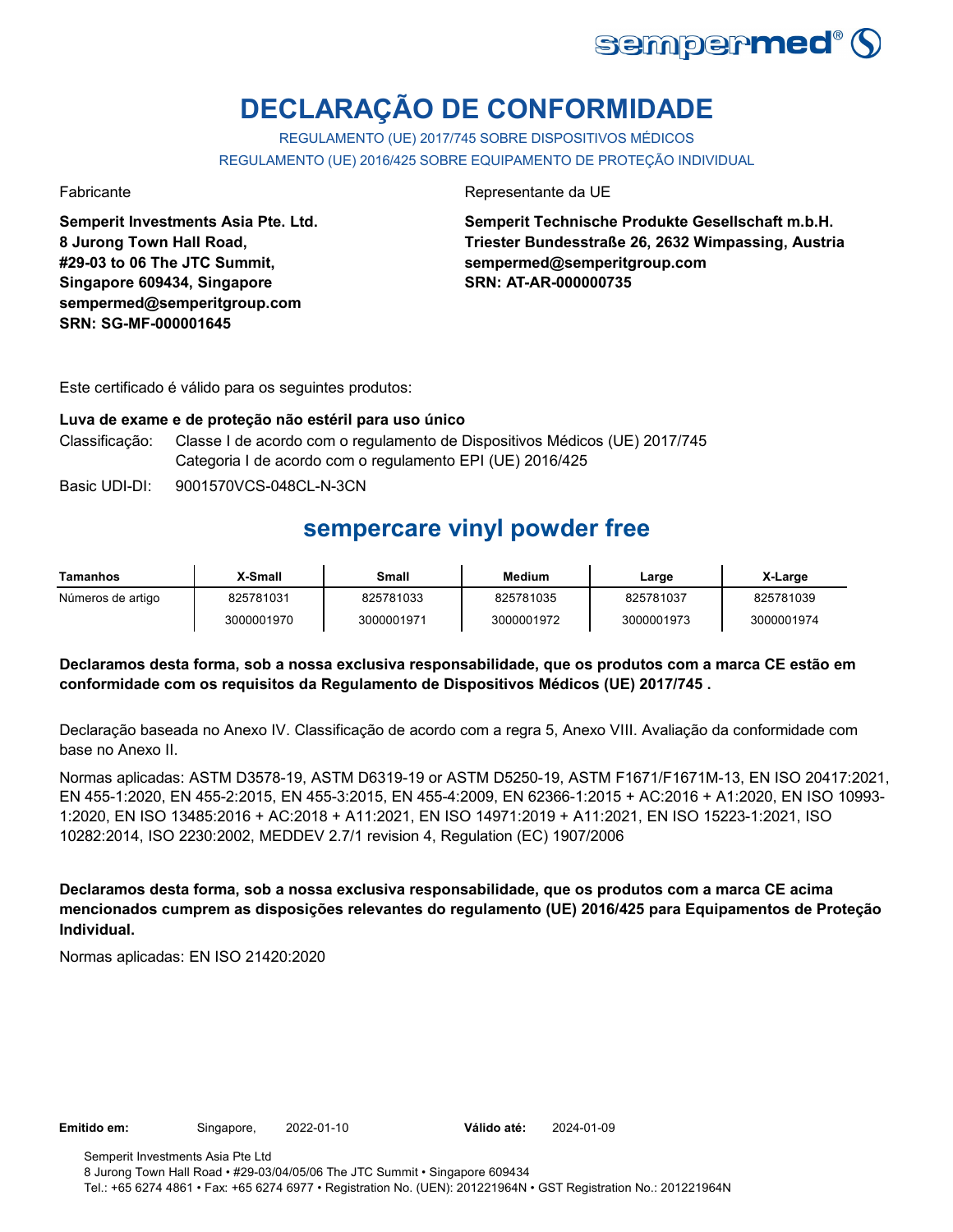

# **DECLARAÇÃO DE CONFORMIDADE**

REGULAMENTO (UE) 2017/745 SOBRE DISPOSITIVOS MÉDICOS REGULAMENTO (UE) 2016/425 SOBRE EQUIPAMENTO DE PROTEÇÃO INDIVIDUAL

**Semperit Investments Asia Pte. Ltd. 8 Jurong Town Hall Road, #29-03 to 06 The JTC Summit, Singapore 609434, Singapore sempermed@semperitgroup.com SRN: SG-MF-000001645**

Fabricante da UE estado e a contrata e a unha presentante da UE estado e a unha presentante da UE

**Semperit Technische Produkte Gesellschaft m.b.H. Triester Bundesstraße 26, 2632 Wimpassing, Austria sempermed@semperitgroup.com SRN: AT-AR-000000735**

Este certificado é válido para os seguintes produtos:

#### **Luva de exame e de proteção não estéril para uso único**

- Classificação: Classe I de acordo com o regulamento de Dispositivos Médicos (UE) 2017/745 Categoria I de acordo com o regulamento EPI (UE) 2016/425
- Basic UDI-DI: 9001570VCS-048CL-N-3CN

### **sempercare vinyl powder free**

| Tamanhos          | X-Small    | Small      | Medium     | Large      | X-Large    |
|-------------------|------------|------------|------------|------------|------------|
| Números de artigo | 825781031  | 825781033  | 825781035  | 825781037  | 825781039  |
|                   | 3000001970 | 3000001971 | 3000001972 | 3000001973 | 3000001974 |

### **Declaramos desta forma, sob a nossa exclusiva responsabilidade, que os produtos com a marca CE estão em conformidade com os requisitos da Regulamento de Dispositivos Médicos (UE) 2017/745 .**

Declaração baseada no Anexo IV. Classificação de acordo com a regra 5, Anexo VIII. Avaliação da conformidade com base no Anexo II.

Normas aplicadas: ASTM D3578-19, ASTM D6319-19 or ASTM D5250-19, ASTM F1671/F1671M-13, EN ISO 20417:2021, EN 455-1:2020, EN 455-2:2015, EN 455-3:2015, EN 455-4:2009, EN 62366-1:2015 + AC:2016 + A1:2020, EN ISO 10993- 1:2020, EN ISO 13485:2016 + AC:2018 + A11:2021, EN ISO 14971:2019 + A11:2021, EN ISO 15223-1:2021, ISO 10282:2014, ISO 2230:2002, MEDDEV 2.7/1 revision 4, Regulation (EC) 1907/2006

**Declaramos desta forma, sob a nossa exclusiva responsabilidade, que os produtos com a marca CE acima mencionados cumprem as disposições relevantes do regulamento (UE) 2016/425 para Equipamentos de Proteção Individual.**

Normas aplicadas: EN ISO 21420:2020

Válido até: 2024-01-09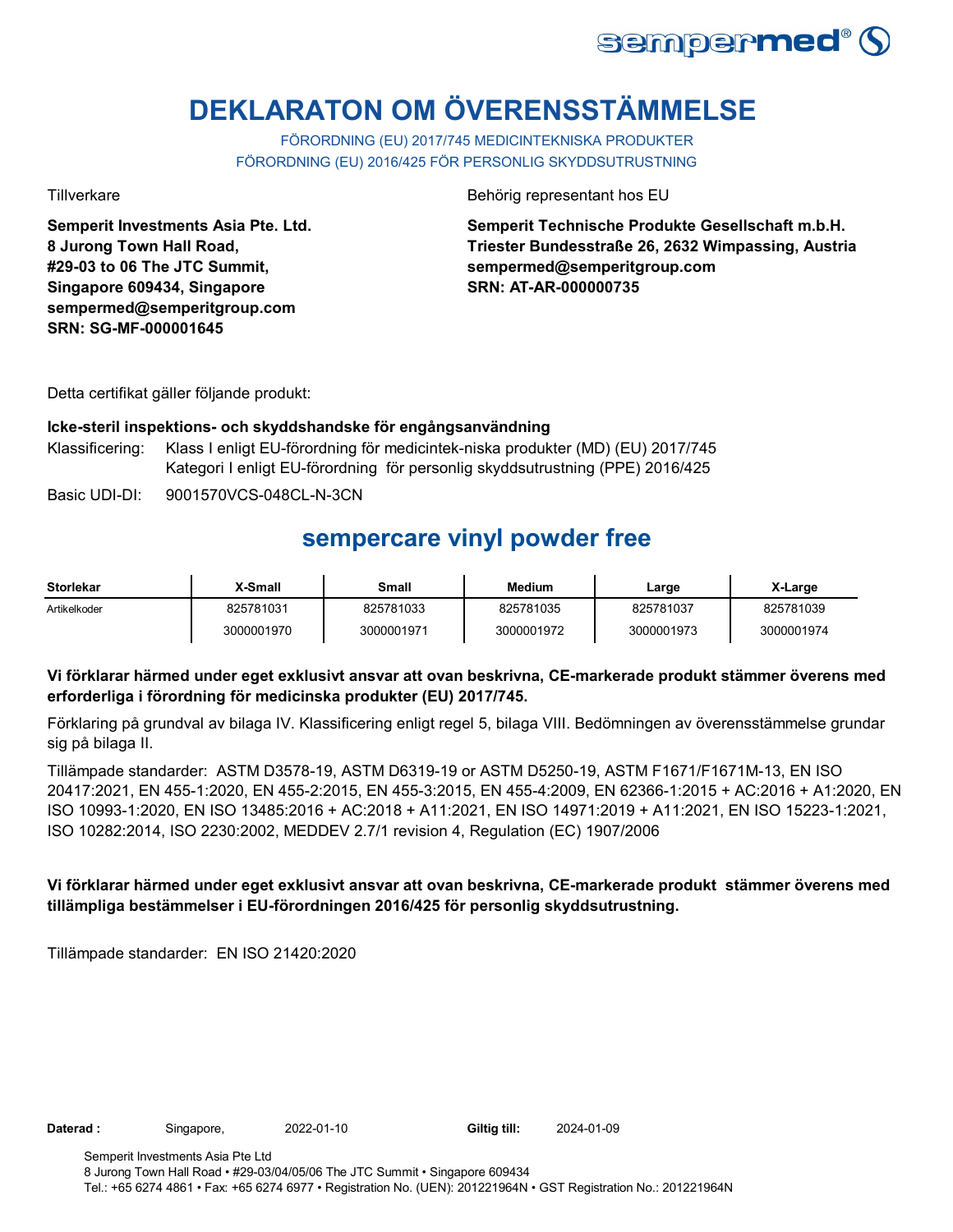

# **DEKLARATON OM ÖVERENSSTÄMMELSE**

FÖRORDNING (EU) 2017/745 MEDICINTEKNISKA PRODUKTER FÖRORDNING (EU) 2016/425 FÖR PERSONLIG SKYDDSUTRUSTNING

**Semperit Investments Asia Pte. Ltd. 8 Jurong Town Hall Road, #29-03 to 06 The JTC Summit, Singapore 609434, Singapore sempermed@semperitgroup.com SRN: SG-MF-000001645**

Tillverkare Behörig representant hos EU

**Semperit Technische Produkte Gesellschaft m.b.H. Triester Bundesstraße 26, 2632 Wimpassing, Austria sempermed@semperitgroup.com SRN: AT-AR-000000735**

Detta certifikat gäller följande produkt:

#### **Icke-steril inspektions- och skyddshandske för engångsanvändning**

Klassificering: Klass I enligt EU-förordning för medicintek-niska produkter (MD) (EU) 2017/745 Kategori I enligt EU-förordning för personlig skyddsutrustning (PPE) 2016/425

Basic UDI-DI: 9001570VCS-048CL-N-3CN

## **sempercare vinyl powder free**

| Storlekar    | X-Small    | Small      | <b>Medium</b> | ∟arge      | X-Large    |
|--------------|------------|------------|---------------|------------|------------|
| Artikelkoder | 825781031  | 825781033  | 825781035     | 825781037  | 825781039  |
|              | 3000001970 | 3000001971 | 3000001972    | 3000001973 | 3000001974 |

### **Vi förklarar härmed under eget exklusivt ansvar att ovan beskrivna, CE-markerade produkt stämmer överens med erforderliga i förordning för medicinska produkter (EU) 2017/745.**

Förklaring på grundval av bilaga IV. Klassificering enligt regel 5, bilaga VIII. Bedömningen av överensstämmelse grundar sig på bilaga II.

Tillämpade standarder: ASTM D3578-19, ASTM D6319-19 or ASTM D5250-19, ASTM F1671/F1671M-13, EN ISO 20417:2021, EN 455-1:2020, EN 455-2:2015, EN 455-3:2015, EN 455-4:2009, EN 62366-1:2015 + AC:2016 + A1:2020, EN ISO 10993-1:2020, EN ISO 13485:2016 + AC:2018 + A11:2021, EN ISO 14971:2019 + A11:2021, EN ISO 15223-1:2021, ISO 10282:2014, ISO 2230:2002, MEDDEV 2.7/1 revision 4, Regulation (EC) 1907/2006

### **Vi förklarar härmed under eget exklusivt ansvar att ovan beskrivna, CE-markerade produkt stämmer överens med tillämpliga bestämmelser i EU-förordningen 2016/425 för personlig skyddsutrustning.**

Tillämpade standarder: EN ISO 21420:2020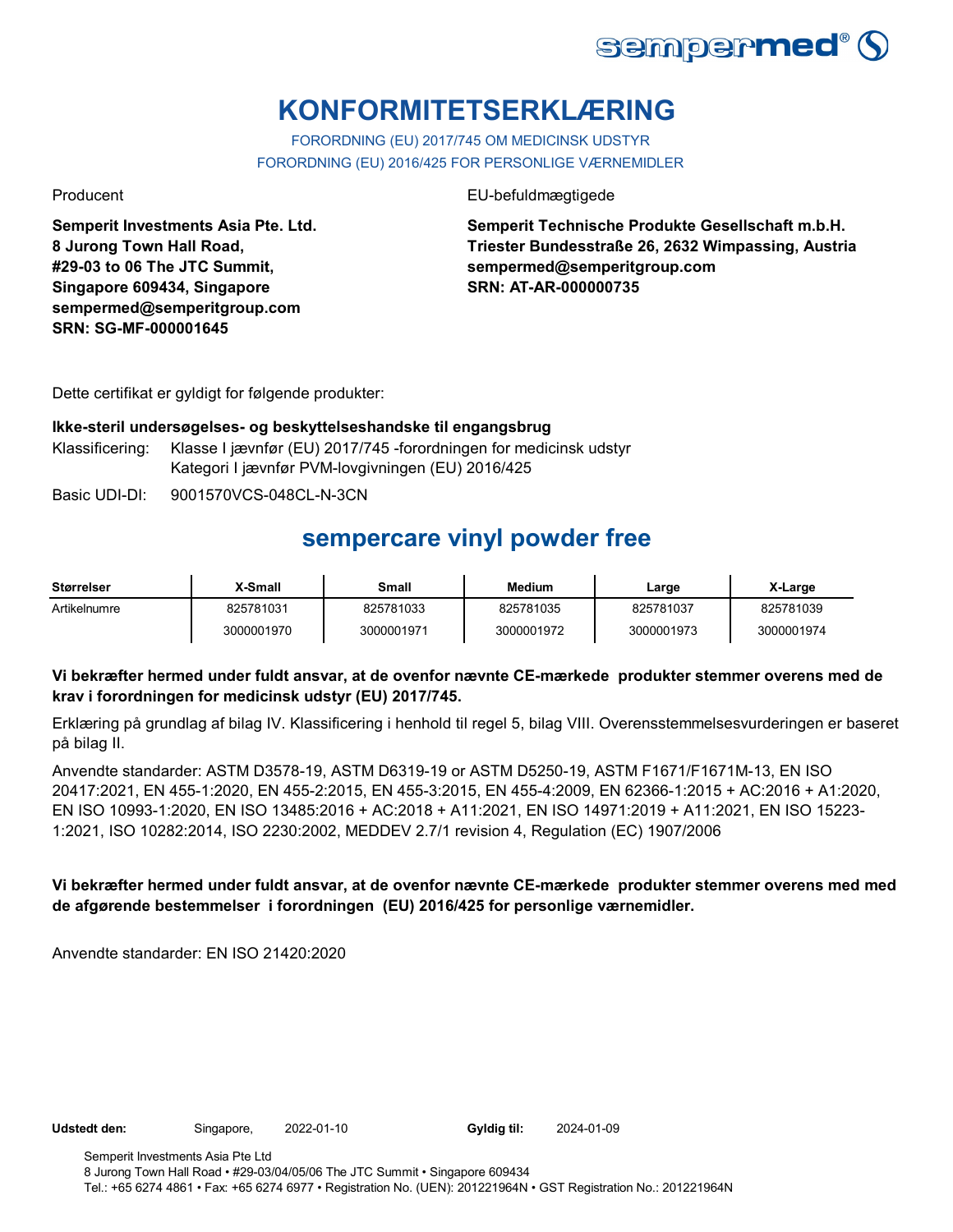

# **KONFORMITETSERKLÆRING**

FORORDNING (EU) 2017/745 OM MEDICINSK UDSTYR FORORDNING (EU) 2016/425 FOR PERSONLIGE VÆRNEMIDLER

Producent EU-befuldmægtigede

**Semperit Investments Asia Pte. Ltd. 8 Jurong Town Hall Road, #29-03 to 06 The JTC Summit, Singapore 609434, Singapore sempermed@semperitgroup.com SRN: SG-MF-000001645**

**Semperit Technische Produkte Gesellschaft m.b.H. Triester Bundesstraße 26, 2632 Wimpassing, Austria sempermed@semperitgroup.com SRN: AT-AR-000000735**

Dette certifikat er gyldigt for følgende produkter:

### **Ikke-steril undersøgelses- og beskyttelseshandske til engangsbrug** Klassificering: Klasse I jævnfør (EU) 2017/745 -forordningen for medicinsk udstyr Kategori I jævnfør PVM-lovgivningen (EU) 2016/425

Basic UDI-DI: 9001570VCS-048CL-N-3CN

## **sempercare vinyl powder free**

| <b>Størrelser</b> | X-Small    | Small      | Medium     | Large      | X-Large    |
|-------------------|------------|------------|------------|------------|------------|
| Artikelnumre      | 825781031  | 825781033  | 825781035  | 825781037  | 825781039  |
|                   | 3000001970 | 3000001971 | 3000001972 | 3000001973 | 3000001974 |

### **Vi bekræfter hermed under fuldt ansvar, at de ovenfor nævnte CE-mærkede produkter stemmer overens med de krav i forordningen for medicinsk udstyr (EU) 2017/745.**

Erklæring på grundlag af bilag IV. Klassificering i henhold til regel 5, bilag VIII. Overensstemmelsesvurderingen er baseret på bilag II.

Anvendte standarder: ASTM D3578-19, ASTM D6319-19 or ASTM D5250-19, ASTM F1671/F1671M-13, EN ISO 20417:2021, EN 455-1:2020, EN 455-2:2015, EN 455-3:2015, EN 455-4:2009, EN 62366-1:2015 + AC:2016 + A1:2020, EN ISO 10993-1:2020, EN ISO 13485:2016 + AC:2018 + A11:2021, EN ISO 14971:2019 + A11:2021, EN ISO 15223- 1:2021, ISO 10282:2014, ISO 2230:2002, MEDDEV 2.7/1 revision 4, Regulation (EC) 1907/2006

### **Vi bekræfter hermed under fuldt ansvar, at de ovenfor nævnte CE-mærkede produkter stemmer overens med med de afgørende bestemmelser i forordningen (EU) 2016/425 for personlige værnemidler.**

2024-01-09

Anvendte standarder: EN ISO 21420:2020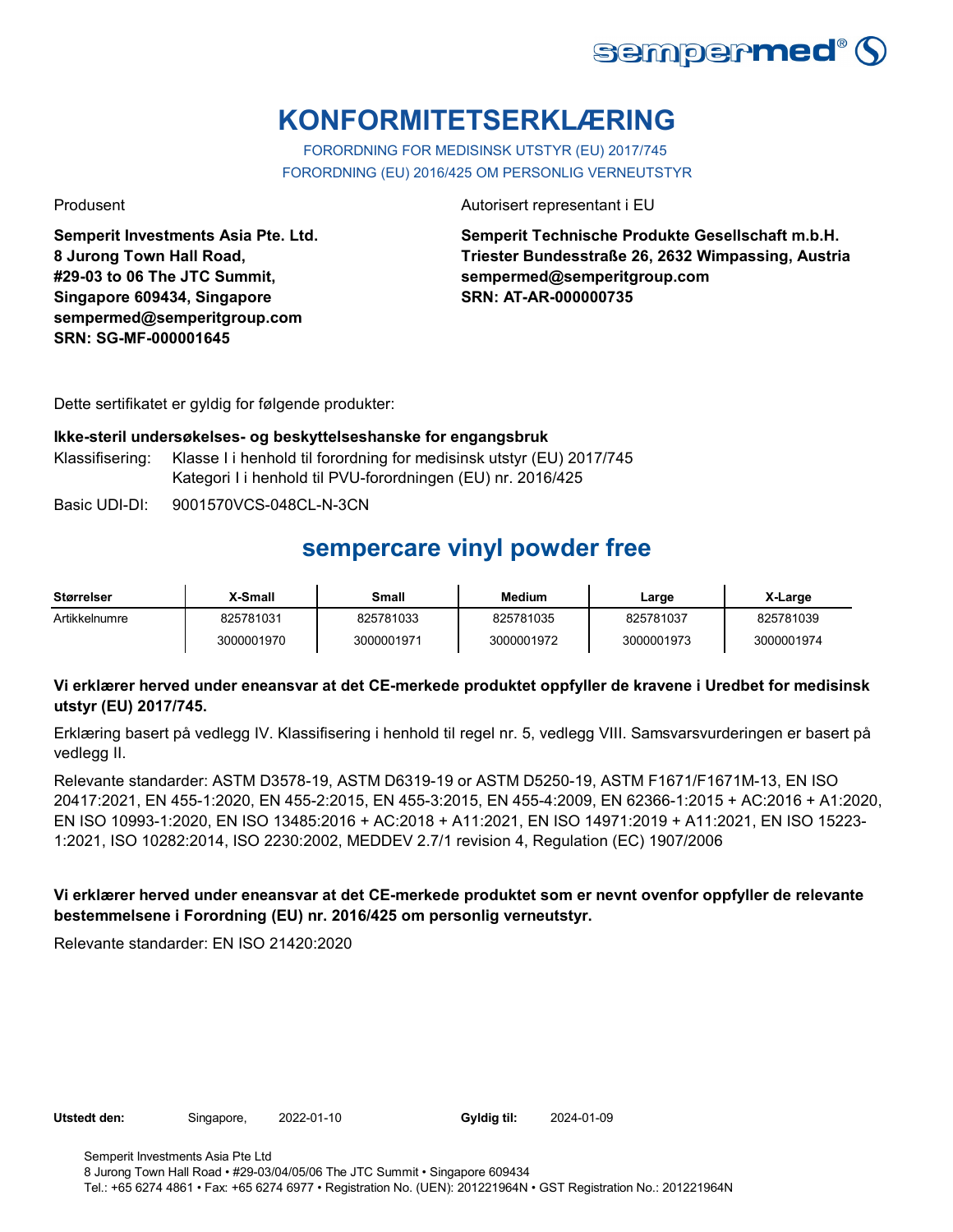

# **KONFORMITETSERKLÆRING**

FORORDNING FOR MEDISINSK UTSTYR (EU) 2017/745 FORORDNING (EU) 2016/425 OM PERSONLIG VERNEUTSTYR

**Semperit Investments Asia Pte. Ltd. 8 Jurong Town Hall Road, #29-03 to 06 The JTC Summit, Singapore 609434, Singapore sempermed@semperitgroup.com SRN: SG-MF-000001645**

Produsent Autorisert representant i EU

**Semperit Technische Produkte Gesellschaft m.b.H. Triester Bundesstraße 26, 2632 Wimpassing, Austria sempermed@semperitgroup.com SRN: AT-AR-000000735**

Dette sertifikatet er gyldig for følgende produkter:

#### **Ikke-steril undersøkelses- og beskyttelseshanske for engangsbruk**

Klassifisering: Klasse I i henhold til forordning for medisinsk utstyr (EU) 2017/745 Kategori I i henhold til PVU-forordningen (EU) nr. 2016/425

Basic UDI-DI: 9001570VCS-048CL-N-3CN

## **sempercare vinyl powder free**

| <b>Størrelser</b> | X-Small    | Small      | <b>Medium</b> | Large      | X-Large    |
|-------------------|------------|------------|---------------|------------|------------|
| Artikkelnumre     | 825781031  | 825781033  | 825781035     | 825781037  | 825781039  |
|                   | 3000001970 | 3000001971 | 3000001972    | 3000001973 | 3000001974 |

### **Vi erklærer herved under eneansvar at det CE-merkede produktet oppfyller de kravene i Uredbet for medisinsk utstyr (EU) 2017/745.**

Erklæring basert på vedlegg IV. Klassifisering i henhold til regel nr. 5, vedlegg VIII. Samsvarsvurderingen er basert på vedlegg II.

Relevante standarder: ASTM D3578-19, ASTM D6319-19 or ASTM D5250-19, ASTM F1671/F1671M-13, EN ISO 20417:2021, EN 455-1:2020, EN 455-2:2015, EN 455-3:2015, EN 455-4:2009, EN 62366-1:2015 + AC:2016 + A1:2020, EN ISO 10993-1:2020, EN ISO 13485:2016 + AC:2018 + A11:2021, EN ISO 14971:2019 + A11:2021, EN ISO 15223- 1:2021, ISO 10282:2014, ISO 2230:2002, MEDDEV 2.7/1 revision 4, Regulation (EC) 1907/2006

### **Vi erklærer herved under eneansvar at det CE-merkede produktet som er nevnt ovenfor oppfyller de relevante bestemmelsene i Forordning (EU) nr. 2016/425 om personlig verneutstyr.**

Relevante standarder: EN ISO 21420:2020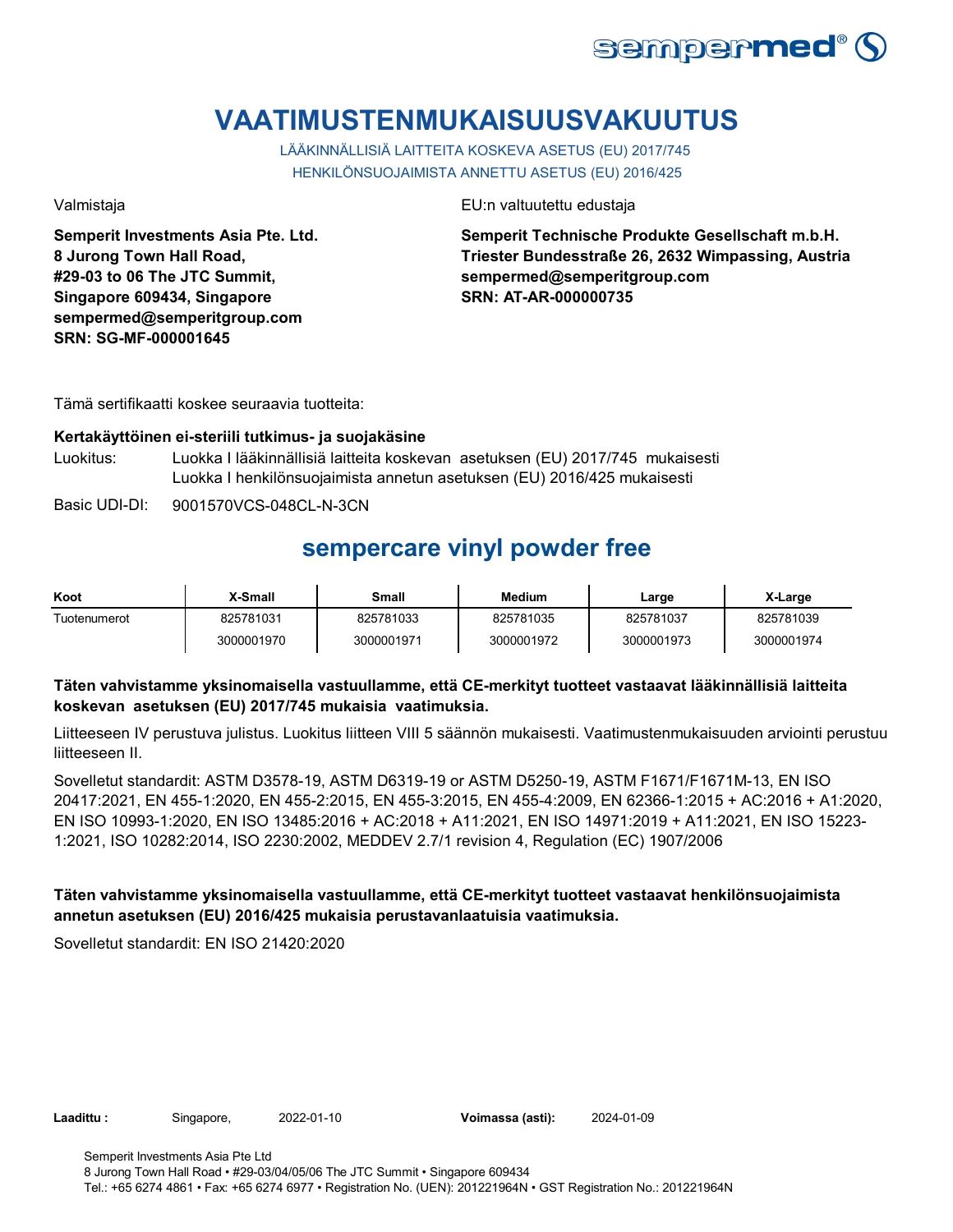

# **VAATIMUSTENMUKAISUUSVAKUUTUS**

LÄÄKINNÄLLISIÄ LAITTEITA KOSKEVA ASETUS (EU) 2017/745 HENKILÖNSUOJAIMISTA ANNETTU ASETUS (EU) 2016/425

**Semperit Investments Asia Pte. Ltd. 8 Jurong Town Hall Road, #29-03 to 06 The JTC Summit, Singapore 609434, Singapore sempermed@semperitgroup.com SRN: SG-MF-000001645**

Valmistaja EU:n valtuutettu edustaja

**Semperit Technische Produkte Gesellschaft m.b.H. Triester Bundesstraße 26, 2632 Wimpassing, Austria sempermed@semperitgroup.com SRN: AT-AR-000000735**

Tämä sertifikaatti koskee seuraavia tuotteita:

#### **Kertakäyttöinen ei-steriili tutkimus- ja suojakäsine**

Luokitus: Luokka I lääkinnällisiä laitteita koskevan asetuksen (EU) 2017/745 mukaisesti Luokka I henkilönsuojaimista annetun asetuksen (EU) 2016/425 mukaisesti

Basic UDI-DI: 9001570VCS-048CL-N-3CN

## **sempercare vinyl powder free**

| Koot         | X-Small    | Small      | <b>Medium</b> | Large      | X-Large    |
|--------------|------------|------------|---------------|------------|------------|
| Tuotenumerot | 825781031  | 825781033  | 825781035     | 825781037  | 825781039  |
|              | 3000001970 | 3000001971 | 3000001972    | 3000001973 | 3000001974 |

### **Täten vahvistamme yksinomaisella vastuullamme, että CE-merkityt tuotteet vastaavat lääkinnällisiä laitteita koskevan asetuksen (EU) 2017/745 mukaisia vaatimuksia.**

Liitteeseen IV perustuva julistus. Luokitus liitteen VIII 5 säännön mukaisesti. Vaatimustenmukaisuuden arviointi perustuu liitteeseen II.

Sovelletut standardit: ASTM D3578-19, ASTM D6319-19 or ASTM D5250-19, ASTM F1671/F1671M-13, EN ISO 20417:2021, EN 455-1:2020, EN 455-2:2015, EN 455-3:2015, EN 455-4:2009, EN 62366-1:2015 + AC:2016 + A1:2020, EN ISO 10993-1:2020, EN ISO 13485:2016 + AC:2018 + A11:2021, EN ISO 14971:2019 + A11:2021, EN ISO 15223- 1:2021, ISO 10282:2014, ISO 2230:2002, MEDDEV 2.7/1 revision 4, Regulation (EC) 1907/2006

### **Täten vahvistamme yksinomaisella vastuullamme, että CE-merkityt tuotteet vastaavat henkilönsuojaimista annetun asetuksen (EU) 2016/425 mukaisia perustavanlaatuisia vaatimuksia.**

Sovelletut standardit: EN ISO 21420:2020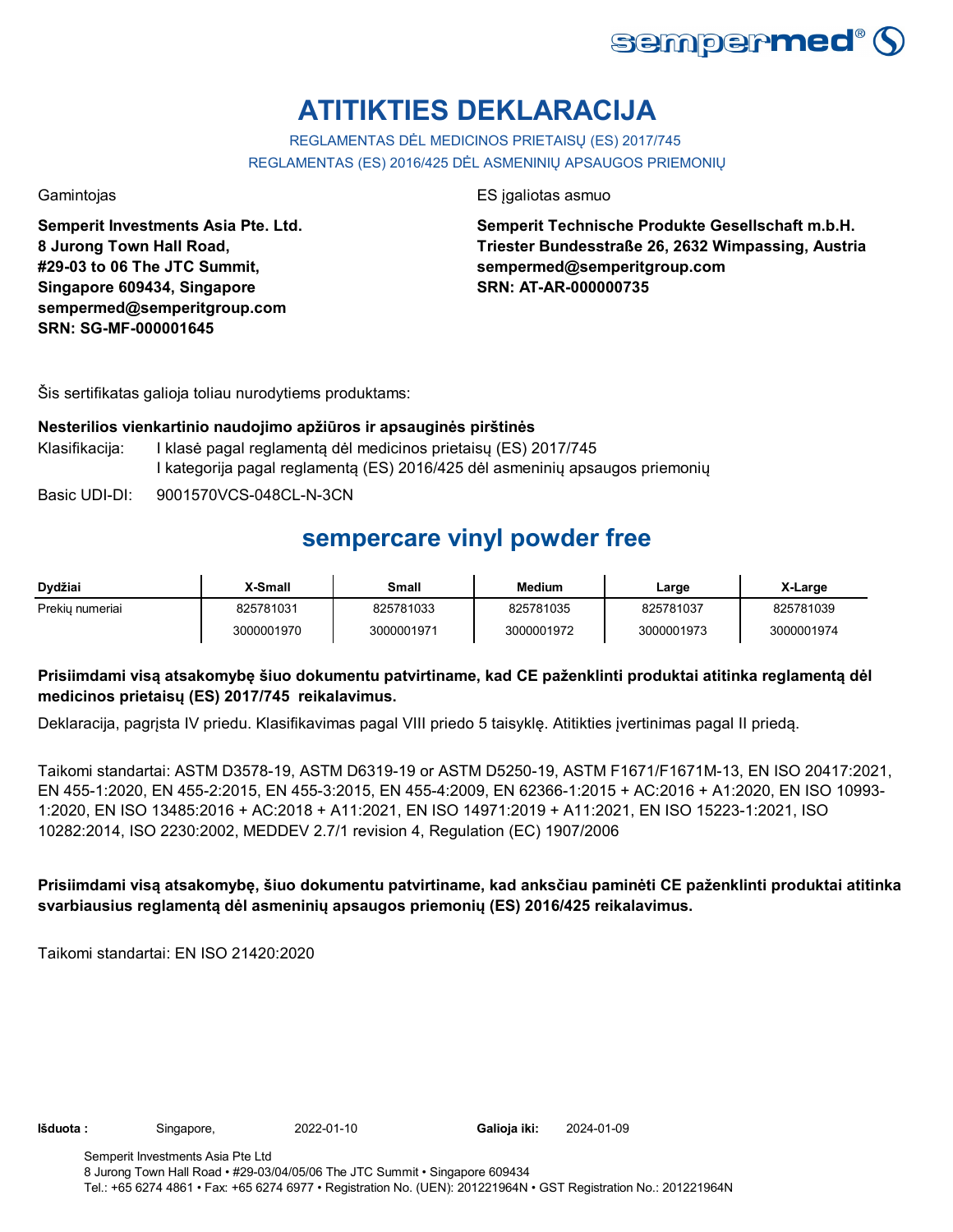

# **ATITIKTIES DEKLARACIJA**

REGLAMENTAS DĖL MEDICINOS PRIETAISŲ (ES) 2017/745 REGLAMENTAS (ES) 2016/425 DĖL ASMENINIŲ APSAUGOS PRIEMONIŲ

**Semperit Investments Asia Pte. Ltd. 8 Jurong Town Hall Road, #29-03 to 06 The JTC Summit, Singapore 609434, Singapore sempermed@semperitgroup.com SRN: SG-MF-000001645**

Gamintojas ES įgaliotas asmuo

**Semperit Technische Produkte Gesellschaft m.b.H. Triester Bundesstraße 26, 2632 Wimpassing, Austria sempermed@semperitgroup.com SRN: AT-AR-000000735**

Šis sertifikatas galioja toliau nurodytiems produktams:

### **Nesterilios vienkartinio naudojimo apžiūros ir apsauginės pirštinės**

- Klasifikacija: I klasė pagal reglamentą dėl medicinos prietaisų (ES) 2017/745 I kategorija pagal reglamentą (ES) 2016/425 dėl asmeninių apsaugos priemonių
- Basic UDI-DI: 9001570VCS-048CL-N-3CN

### **sempercare vinyl powder free**

| Dydžiai         | X-Small    | <b>Small</b> | <b>Medium</b> | Large      | X-Large    |
|-----------------|------------|--------------|---------------|------------|------------|
| Prekiu numeriai | 825781031  | 825781033    | 825781035     | 825781037  | 825781039  |
|                 | 3000001970 | 3000001971   | 3000001972    | 3000001973 | 3000001974 |

### **Prisiimdami visą atsakomybę šiuo dokumentu patvirtiname, kad CE paženklinti produktai atitinka reglamentą dėl medicinos prietaisų (ES) 2017/745 reikalavimus.**

Deklaracija, pagrįsta IV priedu. Klasifikavimas pagal VIII priedo 5 taisyklę. Atitikties įvertinimas pagal II priedą.

Taikomi standartai: ASTM D3578-19, ASTM D6319-19 or ASTM D5250-19, ASTM F1671/F1671M-13, EN ISO 20417:2021, EN 455-1:2020, EN 455-2:2015, EN 455-3:2015, EN 455-4:2009, EN 62366-1:2015 + AC:2016 + A1:2020, EN ISO 10993- 1:2020, EN ISO 13485:2016 + AC:2018 + A11:2021, EN ISO 14971:2019 + A11:2021, EN ISO 15223-1:2021, ISO 10282:2014, ISO 2230:2002, MEDDEV 2.7/1 revision 4, Regulation (EC) 1907/2006

**Prisiimdami visą atsakomybę, šiuo dokumentu patvirtiname, kad anksčiau paminėti CE paženklinti produktai atitinka svarbiausius reglamentą dėl asmeninių apsaugos priemonių (ES) 2016/425 reikalavimus.**

Taikomi standartai: EN ISO 21420:2020

Galioja iki: 2024-01-09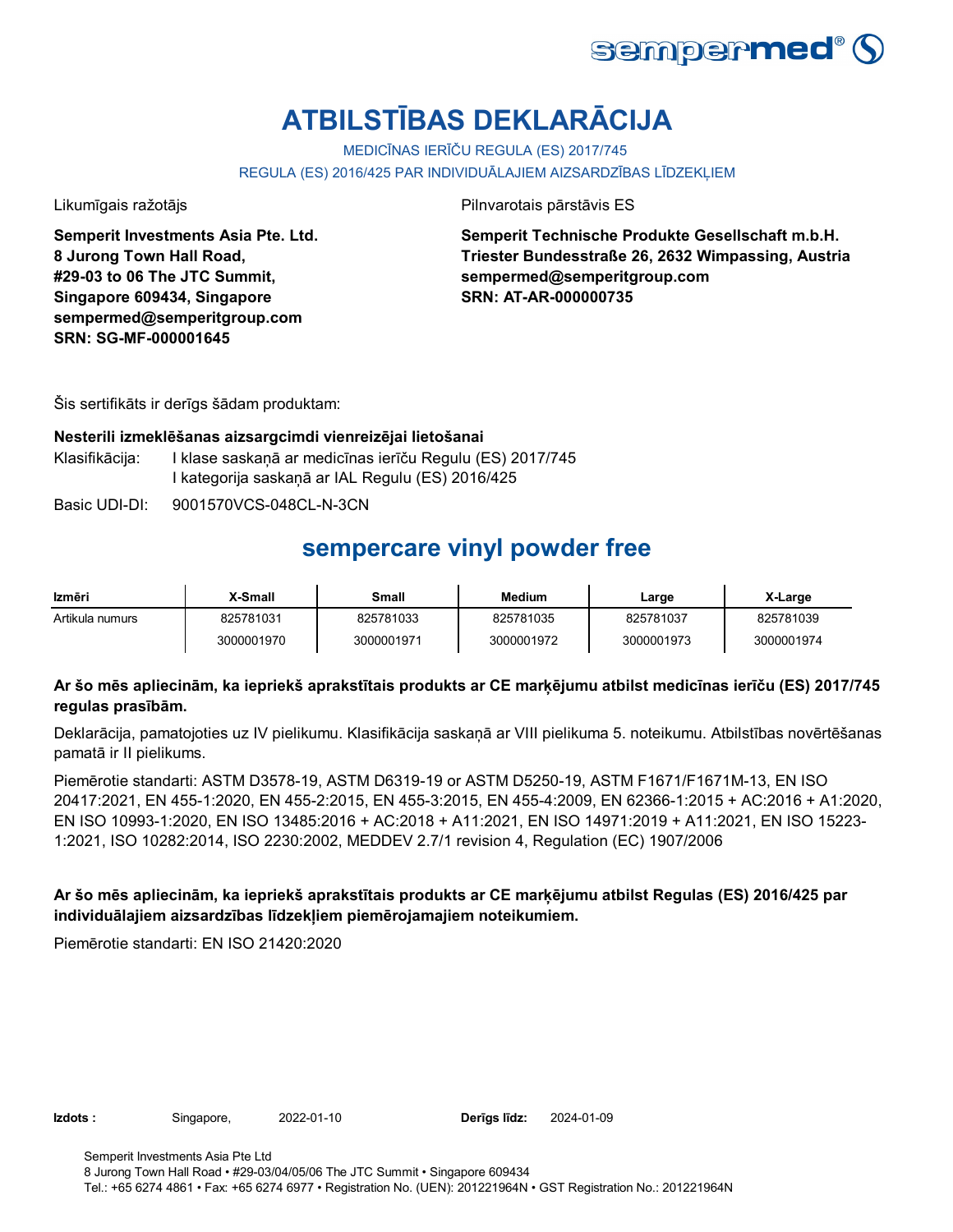

# **ATBILSTĪBAS DEKLARĀCIJA**

MEDICĪNAS IERĪČU REGULA (ES) 2017/745

REGULA (ES) 2016/425 PAR INDIVIDUĀLAJIEM AIZSARDZĪBAS LĪDZEKĻIEM

**Semperit Investments Asia Pte. Ltd. 8 Jurong Town Hall Road, #29-03 to 06 The JTC Summit, Singapore 609434, Singapore sempermed@semperitgroup.com SRN: SG-MF-000001645**

Likumīgais ražotājs Pilnvarotais pārstāvis ES

**Semperit Technische Produkte Gesellschaft m.b.H. Triester Bundesstraße 26, 2632 Wimpassing, Austria sempermed@semperitgroup.com SRN: AT-AR-000000735**

Šis sertifikāts ir derīgs šādam produktam:

#### **Nesterili izmeklēšanas aizsargcimdi vienreizējai lietošanai**

Klasifikācija: I klase saskaņā ar medicīnas ierīču Regulu (ES) 2017/745 I kategorija saskaņā ar IAL Regulu (ES) 2016/425

Basic UDI-DI: 9001570VCS-048CL-N-3CN

### **sempercare vinyl powder free**

| Izmēri          | X-Small    | Small      | <b>Medium</b> | Large      | X-Large    |
|-----------------|------------|------------|---------------|------------|------------|
| Artikula numurs | 825781031  | 825781033  | 825781035     | 825781037  | 825781039  |
|                 | 3000001970 | 3000001971 | 3000001972    | 3000001973 | 3000001974 |

### **Ar šo mēs apliecinām, ka iepriekš aprakstītais produkts ar CE marķējumu atbilst medicīnas ierīču (ES) 2017/745 regulas prasībām.**

Deklarācija, pamatojoties uz IV pielikumu. Klasifikācija saskaņā ar VIII pielikuma 5. noteikumu. Atbilstības novērtēšanas pamatā ir II pielikums.

Piemērotie standarti: ASTM D3578-19, ASTM D6319-19 or ASTM D5250-19, ASTM F1671/F1671M-13, EN ISO 20417:2021, EN 455-1:2020, EN 455-2:2015, EN 455-3:2015, EN 455-4:2009, EN 62366-1:2015 + AC:2016 + A1:2020, EN ISO 10993-1:2020, EN ISO 13485:2016 + AC:2018 + A11:2021, EN ISO 14971:2019 + A11:2021, EN ISO 15223- 1:2021, ISO 10282:2014, ISO 2230:2002, MEDDEV 2.7/1 revision 4, Regulation (EC) 1907/2006

### **Ar šo mēs apliecinām, ka iepriekš aprakstītais produkts ar CE marķējumu atbilst Regulas (ES) 2016/425 par individuālajiem aizsardzības līdzekļiem piemērojamajiem noteikumiem.**

Piemērotie standarti: EN ISO 21420:2020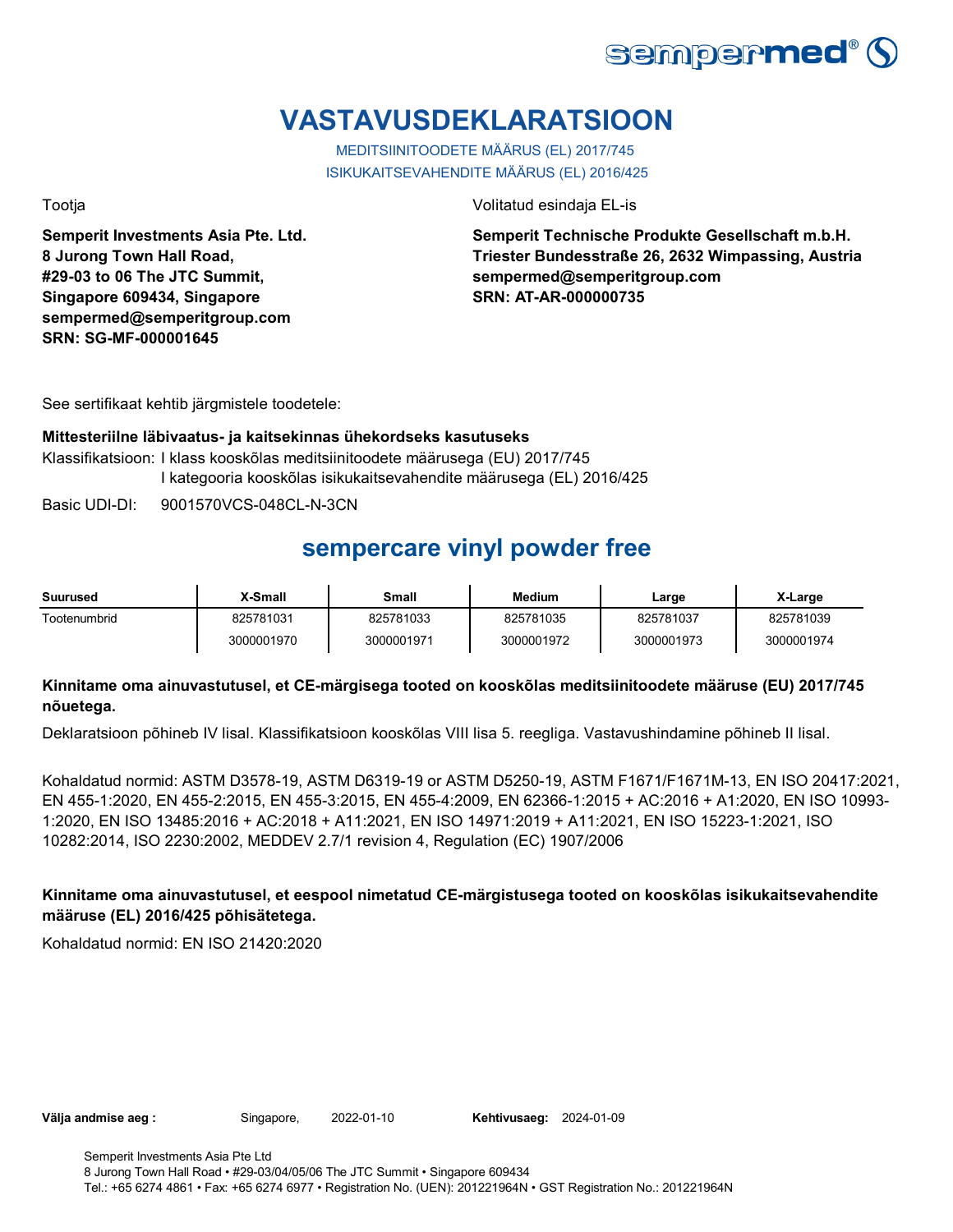

# **VASTAVUSDEKLARATSIOON**

MEDITSIINITOODETE MÄÄRUS (EL) 2017/745 ISIKUKAITSEVAHENDITE MÄÄRUS (EL) 2016/425

**Semperit Investments Asia Pte. Ltd. 8 Jurong Town Hall Road, #29-03 to 06 The JTC Summit, Singapore 609434, Singapore sempermed@semperitgroup.com SRN: SG-MF-000001645**

Tootja Volitatud esindaja EL-is

**Semperit Technische Produkte Gesellschaft m.b.H. Triester Bundesstraße 26, 2632 Wimpassing, Austria sempermed@semperitgroup.com SRN: AT-AR-000000735**

See sertifikaat kehtib järgmistele toodetele:

#### **Mittesteriilne läbivaatus- ja kaitsekinnas ühekordseks kasutuseks**

Klassifikatsioon: I klass kooskõlas meditsiinitoodete määrusega (EU) 2017/745 I kategooria kooskõlas isikukaitsevahendite määrusega (EL) 2016/425

Basic UDI-DI: 9001570VCS-048CL-N-3CN 9001570VCS-048CL-N-3

## **sempercare vinyl powder free**

| Suurused     | X-Small    | Small      | <b>Medium</b> | Large      | X-Large    |
|--------------|------------|------------|---------------|------------|------------|
| Tootenumbrid | 825781031  | 825781033  | 825781035     | 825781037  | 825781039  |
|              | 3000001970 | 3000001971 | 3000001972    | 3000001973 | 3000001974 |

### **Kinnitame oma ainuvastutusel, et CE-märgisega tooted on kooskõlas meditsiinitoodete määruse (EU) 2017/745 nõuetega.**

Deklaratsioon põhineb IV lisal. Klassifikatsioon kooskõlas VIII lisa 5. reegliga. Vastavushindamine põhineb II lisal.

Kohaldatud normid: ASTM D3578-19, ASTM D6319-19 or ASTM D5250-19, ASTM F1671/F1671M-13, EN ISO 20417:2021, EN 455-1:2020, EN 455-2:2015, EN 455-3:2015, EN 455-4:2009, EN 62366-1:2015 + AC:2016 + A1:2020, EN ISO 10993- 1:2020, EN ISO 13485:2016 + AC:2018 + A11:2021, EN ISO 14971:2019 + A11:2021, EN ISO 15223-1:2021, ISO 10282:2014, ISO 2230:2002, MEDDEV 2.7/1 revision 4, Regulation (EC) 1907/2006

### **Kinnitame oma ainuvastutusel, et eespool nimetatud CE-märgistusega tooted on kooskõlas isikukaitsevahendite määruse (EL) 2016/425 põhisätetega.**

Kohaldatud normid: EN ISO 21420:2020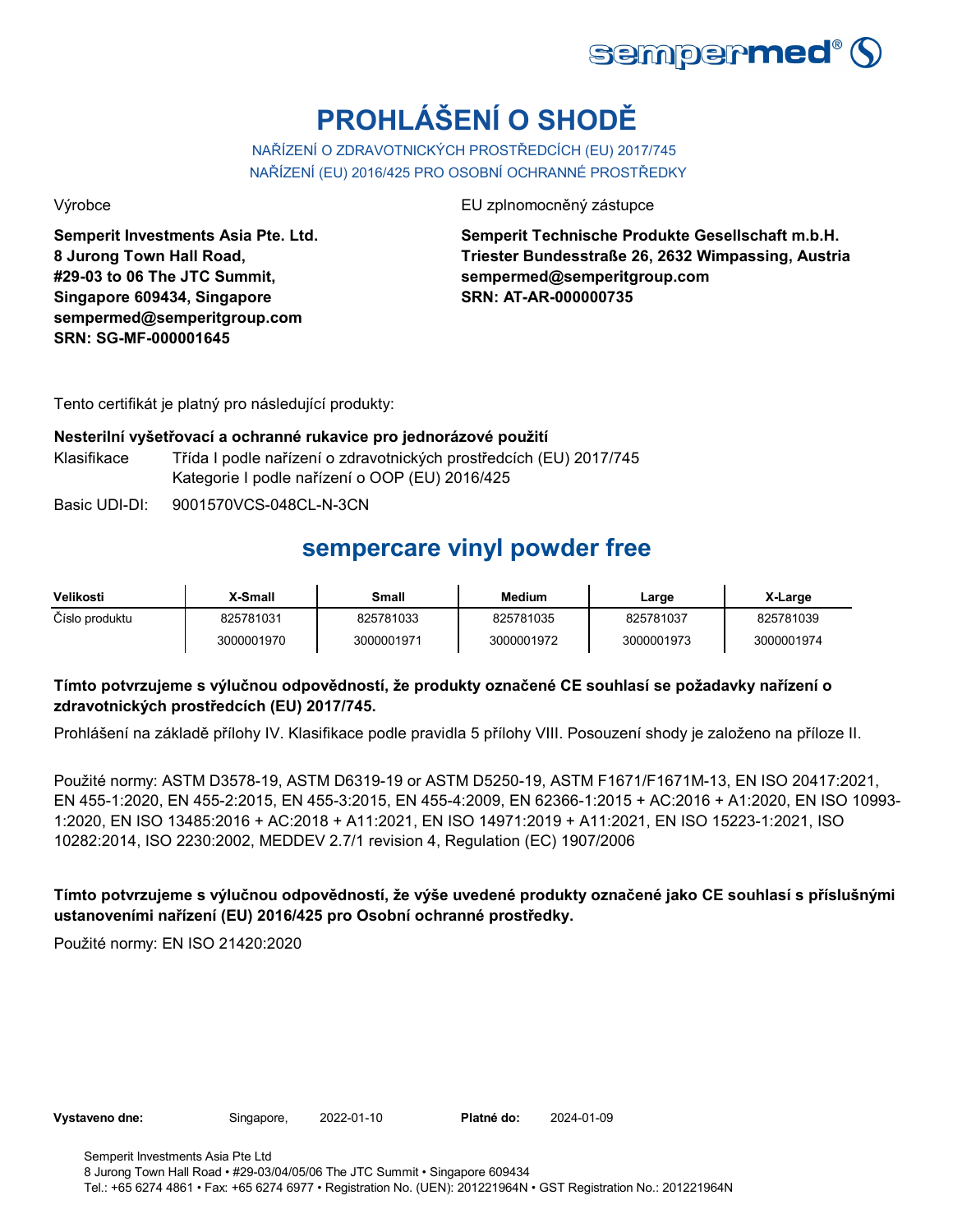

# **PROHLÁŠENÍ O SHODĚ**

NAŘÍZENÍ O ZDRAVOTNICKÝCH PROSTŘEDCÍCH (EU) 2017/745 NAŘÍZENÍ (EU) 2016/425 PRO OSOBNÍ OCHRANNÉ PROSTŘEDKY

**Semperit Investments Asia Pte. Ltd. 8 Jurong Town Hall Road, #29-03 to 06 The JTC Summit, Singapore 609434, Singapore sempermed@semperitgroup.com SRN: SG-MF-000001645**

Výrobce EU zplnomocněný zástupce

**Semperit Technische Produkte Gesellschaft m.b.H. Triester Bundesstraße 26, 2632 Wimpassing, Austria sempermed@semperitgroup.com SRN: AT-AR-000000735**

Tento certifikát je platný pro následující produkty:

#### **Nesterilní vyšetřovací a ochranné rukavice pro jednorázové použití**

Klasifikace Třída I podle nařízení o zdravotnických prostředcích (EU) 2017/745 Kategorie I podle nařízení o OOP (EU) 2016/425

Basic UDI-DI: 9001570VCS-048CL-N-3CN

## **sempercare vinyl powder free**

| Velikosti      | <b>X-Small</b> | Small      | <b>Medium</b> | Large      | X-Large    |
|----------------|----------------|------------|---------------|------------|------------|
| Číslo produktu | 825781031      | 825781033  | 825781035     | 825781037  | 825781039  |
|                | 3000001970     | 3000001971 | 3000001972    | 3000001973 | 3000001974 |

### **Tímto potvrzujeme s výlučnou odpovědností, že produkty označené CE souhlasí se požadavky nařízení o zdravotnických prostředcích (EU) 2017/745.**

Prohlášení na základě přílohy IV. Klasifikace podle pravidla 5 přílohy VIII. Posouzení shody je založeno na příloze II.

Použité normy: ASTM D3578-19, ASTM D6319-19 or ASTM D5250-19, ASTM F1671/F1671M-13, EN ISO 20417:2021, EN 455-1:2020, EN 455-2:2015, EN 455-3:2015, EN 455-4:2009, EN 62366-1:2015 + AC:2016 + A1:2020, EN ISO 10993- 1:2020, EN ISO 13485:2016 + AC:2018 + A11:2021, EN ISO 14971:2019 + A11:2021, EN ISO 15223-1:2021, ISO 10282:2014, ISO 2230:2002, MEDDEV 2.7/1 revision 4, Regulation (EC) 1907/2006

**Tímto potvrzujeme s výlučnou odpovědností, že výše uvedené produkty označené jako CE souhlasí s příslušnými ustanoveními nařízení (EU) 2016/425 pro Osobní ochranné prostředky.**

Použité normy: EN ISO 21420:2020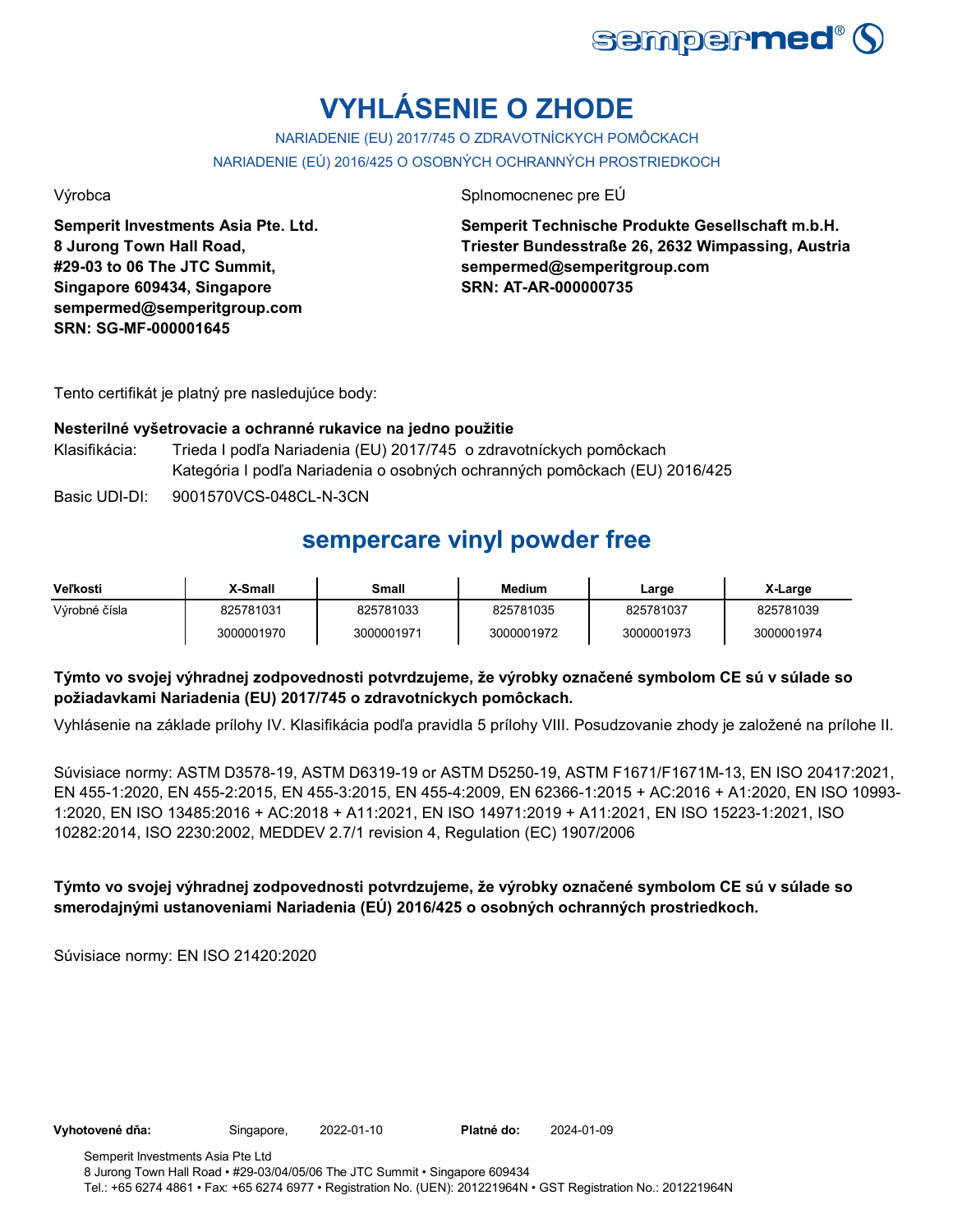

# **VYHLÁSENIE O ZHODE**

NARIADENIE (EU) 2017/745 O ZDRAVOTNÍCKYCH POMÔCKACH NARIADENIE (EÚ) 2016/425 O OSOBNÝCH OCHRANNÝCH PROSTRIEDKOCH

Výrobca Splnomocnenec pre EÚ

**Semperit Investments Asia Pte. Ltd. 8 Jurong Town Hall Road, #29-03 to 06 The JTC Summit, Singapore 609434, Singapore sempermed@semperitgroup.com SRN: SG-MF-000001645**

**Semperit Technische Produkte Gesellschaft m.b.H. Triester Bundesstraße 26, 2632 Wimpassing, Austria sempermed@semperitgroup.com SRN: AT-AR-000000735**

Tento certifikát je platný pre nasledujúce body:

### **Nesterilné vyšetrovacie a ochranné rukavice na jedno použitie**

- Klasifikácia: Trieda I podľa Nariadenia (EU) 2017/745 o zdravotníckych pomôckach Kategória I podľa Nariadenia o osobných ochranných pomôckach (EU) 2016/425
- Basic UDI-DI: 9001570VCS-048CL-N-3CN

### **sempercare vinyl powder free**

| <b>Veľkosti</b> | <b>X-Small</b> | Small      | Medium     | Large      | X-Large    |
|-----------------|----------------|------------|------------|------------|------------|
| Výrobné čísla   | 825781031      | 825781033  | 825781035  | 825781037  | 825781039  |
|                 | 3000001970     | 3000001971 | 3000001972 | 3000001973 | 3000001974 |

### **Týmto vo svojej výhradnej zodpovednosti potvrdzujeme, že výrobky označené symbolom CE sú v súlade so požiadavkami Nariadenia (EU) 2017/745 o zdravotníckych pomôckach.**

Vyhlásenie na základe prílohy IV. Klasifikácia podľa pravidla 5 prílohy VIII. Posudzovanie zhody je založené na prílohe II.

Súvisiace normy: ASTM D3578-19, ASTM D6319-19 or ASTM D5250-19, ASTM F1671/F1671M-13, EN ISO 20417:2021, EN 455-1:2020, EN 455-2:2015, EN 455-3:2015, EN 455-4:2009, EN 62366-1:2015 + AC:2016 + A1:2020, EN ISO 10993- 1:2020, EN ISO 13485:2016 + AC:2018 + A11:2021, EN ISO 14971:2019 + A11:2021, EN ISO 15223-1:2021, ISO 10282:2014, ISO 2230:2002, MEDDEV 2.7/1 revision 4, Regulation (EC) 1907/2006

### **Týmto vo svojej výhradnej zodpovednosti potvrdzujeme, že výrobky označené symbolom CE sú v súlade so smerodajnými ustanoveniami Nariadenia (EÚ) 2016/425 o osobných ochranných prostriedkoch.**

Súvisiace normy: EN ISO 21420:2020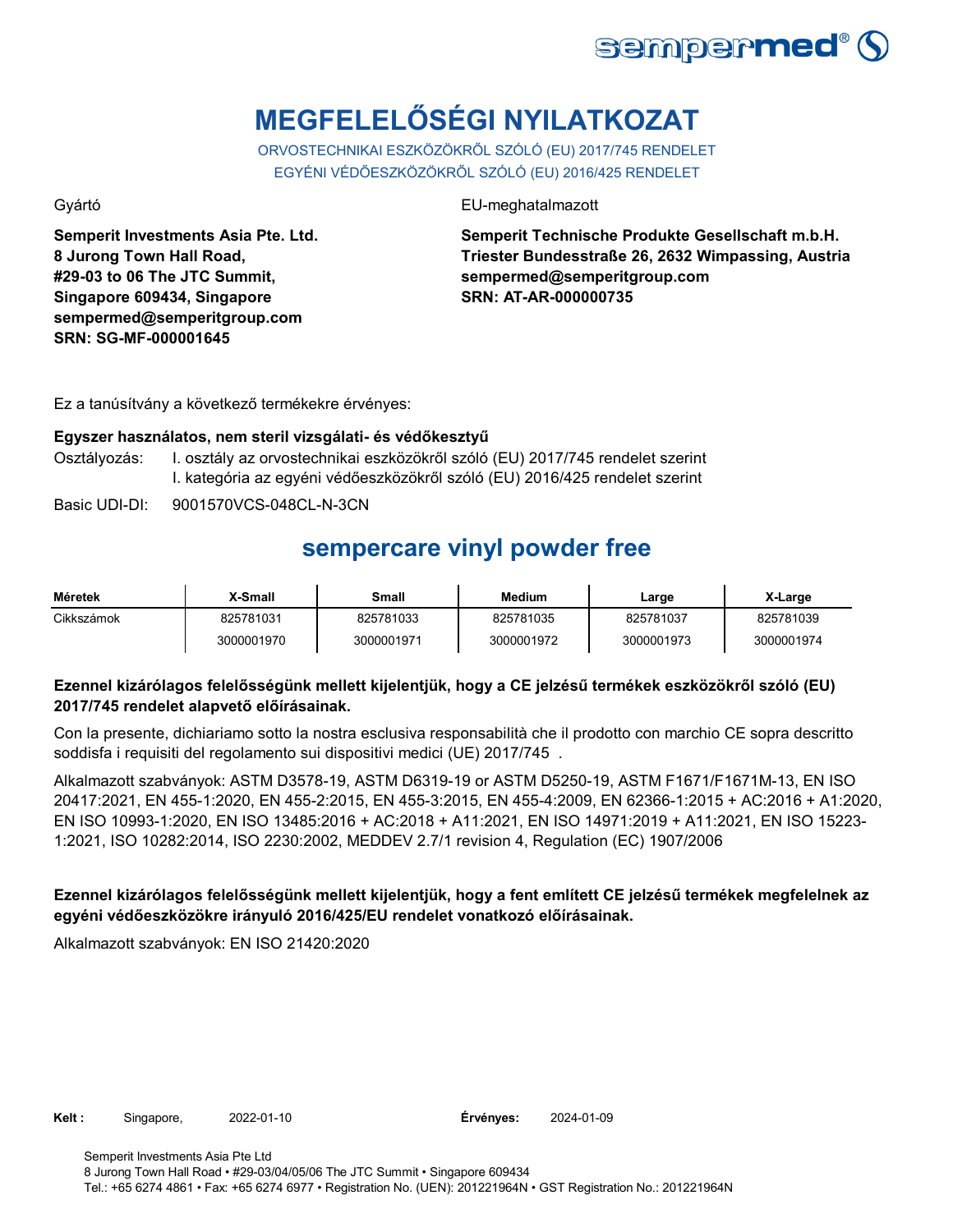

# **MEGFELELŐSÉGI NYILATKOZAT**

ORVOSTECHNIKAI ESZKÖZÖKRŐL SZÓLÓ (EU) 2017/745 RENDELET EGYÉNI VÉDŐESZKÖZÖKRŐL SZÓLÓ (EU) 2016/425 RENDELET

**Semperit Investments Asia Pte. Ltd. 8 Jurong Town Hall Road, #29-03 to 06 The JTC Summit, Singapore 609434, Singapore sempermed@semperitgroup.com SRN: SG-MF-000001645**

Gyártó EU-meghatalmazott

**Semperit Technische Produkte Gesellschaft m.b.H. Triester Bundesstraße 26, 2632 Wimpassing, Austria sempermed@semperitgroup.com SRN: AT-AR-000000735**

Ez a tanúsítvány a következő termékekre érvényes:

### **Egyszer használatos, nem steril vizsgálati- és védőkesztyű**

Osztályozás: I. osztály az orvostechnikai eszközökről szóló (EU) 2017/745 rendelet szerint I. kategória az egyéni védőeszközökről szóló (EU) 2016/425 rendelet szerint

Basic UDI-DI: 9001570VCS-048CL-N-3CN

## **sempercare vinyl powder free**

| Méretek    | X-Small    | Small      | <b>Medium</b> | Large      | X-Large    |
|------------|------------|------------|---------------|------------|------------|
| Cikkszámok | 825781031  | 825781033  | 825781035     | 825781037  | 825781039  |
|            | 3000001970 | 3000001971 | 3000001972    | 3000001973 | 3000001974 |

### **Ezennel kizárólagos felelősségünk mellett kijelentjük, hogy a CE jelzésű termékek eszközökről szóló (EU) 2017/745 rendelet alapvető előírásainak.**

Con la presente, dichiariamo sotto la nostra esclusiva responsabilità che il prodotto con marchio CE sopra descritto soddisfa i requisiti del regolamento sui dispositivi medici (UE) 2017/745 .

Alkalmazott szabványok: ASTM D3578-19, ASTM D6319-19 or ASTM D5250-19, ASTM F1671/F1671M-13, EN ISO 20417:2021, EN 455-1:2020, EN 455-2:2015, EN 455-3:2015, EN 455-4:2009, EN 62366-1:2015 + AC:2016 + A1:2020, EN ISO 10993-1:2020, EN ISO 13485:2016 + AC:2018 + A11:2021, EN ISO 14971:2019 + A11:2021, EN ISO 15223- 1:2021, ISO 10282:2014, ISO 2230:2002, MEDDEV 2.7/1 revision 4, Regulation (EC) 1907/2006

### **Ezennel kizárólagos felelősségünk mellett kijelentjük, hogy a fent említett CE jelzésű termékek megfelelnek az egyéni védőeszközökre irányuló 2016/425/EU rendelet vonatkozó előírásainak.**

Alkalmazott szabványok: EN ISO 21420:2020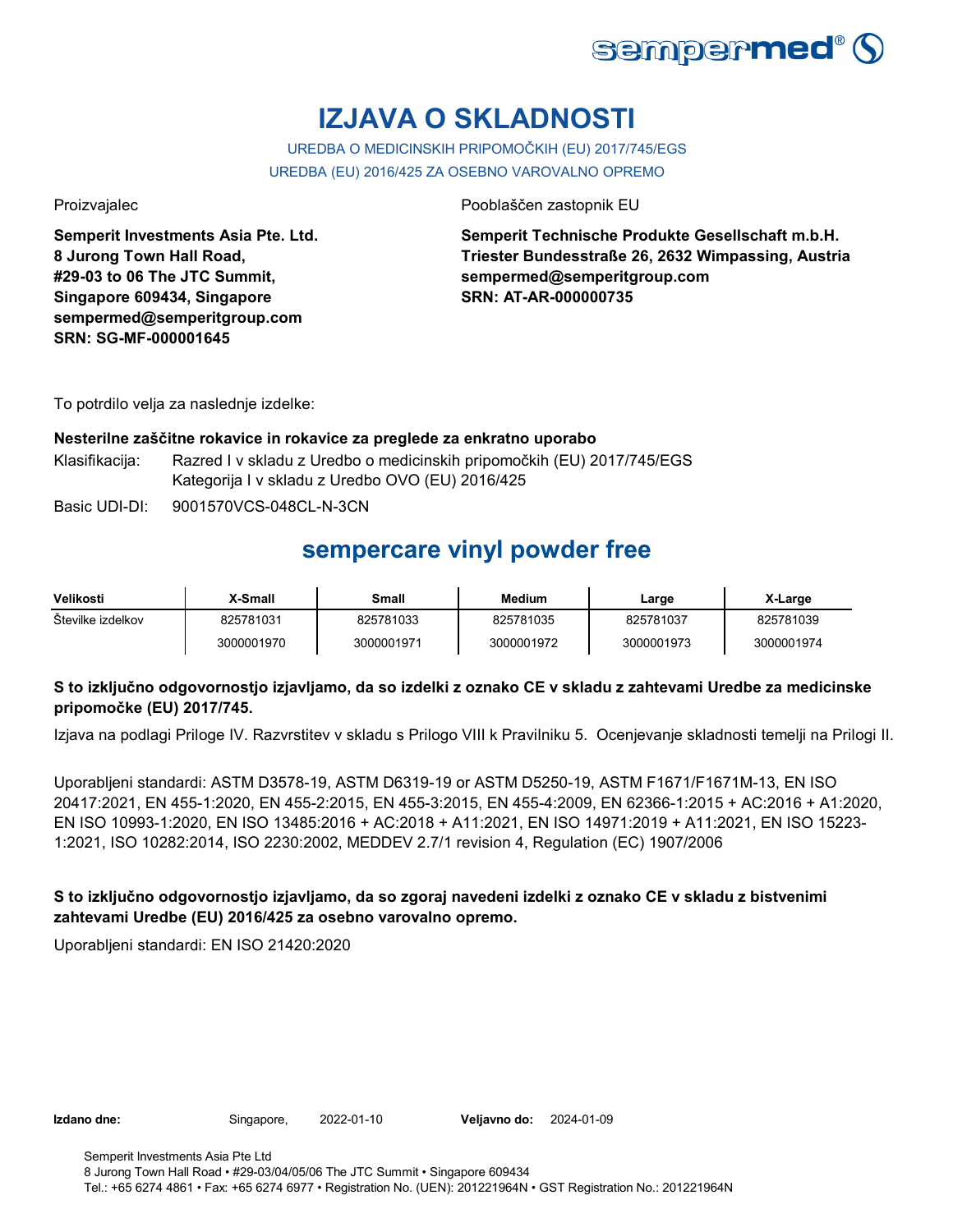

# **IZJAVA O SKLADNOSTI**

### UREDBA O MEDICINSKIH PRIPOMOČKIH (EU) 2017/745/EGS

UREDBA (EU) 2016/425 ZA OSEBNO VAROVALNO OPREMO

**Semperit Investments Asia Pte. Ltd. 8 Jurong Town Hall Road, #29-03 to 06 The JTC Summit, Singapore 609434, Singapore sempermed@semperitgroup.com SRN: SG-MF-000001645**

Proizvajalec Pooblaščen zastopnik EU

**Semperit Technische Produkte Gesellschaft m.b.H. Triester Bundesstraße 26, 2632 Wimpassing, Austria sempermed@semperitgroup.com SRN: AT-AR-000000735**

To potrdilo velja za naslednje izdelke:

#### **Nesterilne zaščitne rokavice in rokavice za preglede za enkratno uporabo**

Klasifikacija: Razred I v skladu z Uredbo o medicinskih pripomočkih (EU) 2017/745/EGS Kategorija I v skladu z Uredbo OVO (EU) 2016/425

Basic UDI-DI: 9001570VCS-048CL-N-3CN

## **sempercare vinyl powder free**

| Velikosti         | X-Small    | Small      | <b>Medium</b> | Large      | X-Large    |
|-------------------|------------|------------|---------------|------------|------------|
| Stevilke izdelkov | 825781031  | 825781033  | 825781035     | 825781037  | 825781039  |
|                   | 3000001970 | 3000001971 | 3000001972    | 3000001973 | 3000001974 |

### **S to izključno odgovornostjo izjavljamo, da so izdelki z oznako CE v skladu z zahtevami Uredbe za medicinske pripomočke (EU) 2017/745.**

Izjava na podlagi Priloge IV. Razvrstitev v skladu s Prilogo VIII k Pravilniku 5. Ocenjevanje skladnosti temelji na Prilogi II.

Uporabljeni standardi: ASTM D3578-19, ASTM D6319-19 or ASTM D5250-19, ASTM F1671/F1671M-13, EN ISO 20417:2021, EN 455-1:2020, EN 455-2:2015, EN 455-3:2015, EN 455-4:2009, EN 62366-1:2015 + AC:2016 + A1:2020, EN ISO 10993-1:2020, EN ISO 13485:2016 + AC:2018 + A11:2021, EN ISO 14971:2019 + A11:2021, EN ISO 15223- 1:2021, ISO 10282:2014, ISO 2230:2002, MEDDEV 2.7/1 revision 4, Regulation (EC) 1907/2006

### **S to izključno odgovornostjo izjavljamo, da so zgoraj navedeni izdelki z oznako CE v skladu z bistvenimi zahtevami Uredbe (EU) 2016/425 za osebno varovalno opremo.**

Uporabljeni standardi: EN ISO 21420:2020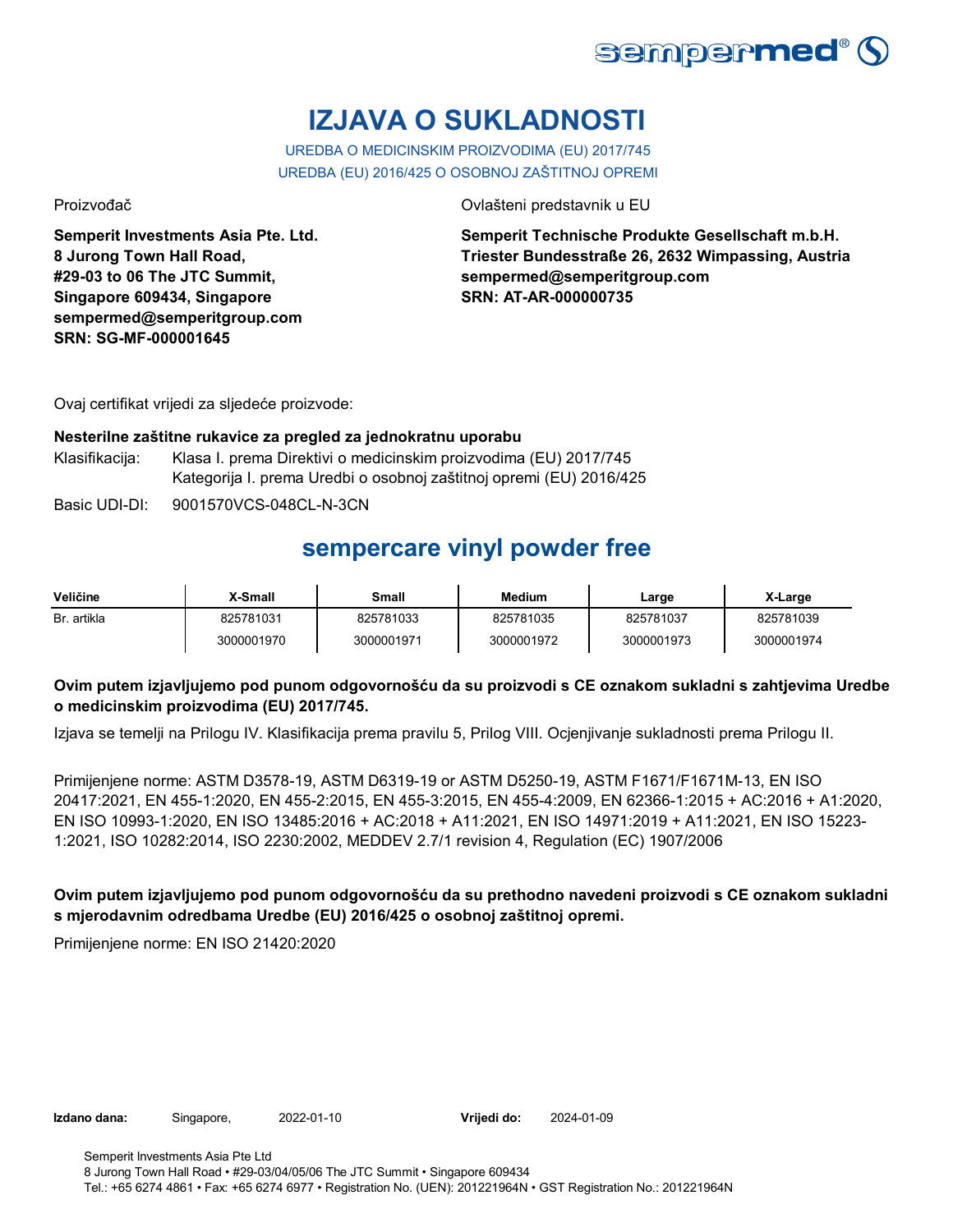

# **IZJAVA O SUKLADNOSTI**

UREDBA O MEDICINSKIM PROIZVODIMA (EU) 2017/745 UREDBA (EU) 2016/425 O OSOBNOJ ZAŠTITNOJ OPREMI

**Semperit Investments Asia Pte. Ltd. 8 Jurong Town Hall Road, #29-03 to 06 The JTC Summit, Singapore 609434, Singapore sempermed@semperitgroup.com SRN: SG-MF-000001645**

Proizvođač Ovlašteni predstavnik u EU

**Semperit Technische Produkte Gesellschaft m.b.H. Triester Bundesstraße 26, 2632 Wimpassing, Austria sempermed@semperitgroup.com SRN: AT-AR-000000735**

Ovaj certifikat vrijedi za sljedeće proizvode:

#### **Nesterilne zaštitne rukavice za pregled za jednokratnu uporabu**

Klasifikacija: Klasa I. prema Direktivi o medicinskim proizvodima (EU) 2017/745 Kategorija I. prema Uredbi o osobnoj zaštitnoj opremi (EU) 2016/425

Basic UDI-DI: 9001570VCS-048CL-N-3CN

### **sempercare vinyl powder free**

| Veličine    | <b>X-Small</b> | Small      | <b>Medium</b> | Large      | X-Large    |
|-------------|----------------|------------|---------------|------------|------------|
| Br. artikla | 825781031      | 825781033  | 825781035     | 825781037  | 825781039  |
|             | 3000001970     | 3000001971 | 3000001972    | 3000001973 | 3000001974 |

### **Ovim putem izjavljujemo pod punom odgovornošću da su proizvodi s CE oznakom sukladni s zahtjevima Uredbe o medicinskim proizvodima (EU) 2017/745.**

Izjava se temelji na Prilogu IV. Klasifikacija prema pravilu 5, Prilog VIII. Ocjenjivanje sukladnosti prema Prilogu II.

Primijenjene norme: ASTM D3578-19, ASTM D6319-19 or ASTM D5250-19, ASTM F1671/F1671M-13, EN ISO 20417:2021, EN 455-1:2020, EN 455-2:2015, EN 455-3:2015, EN 455-4:2009, EN 62366-1:2015 + AC:2016 + A1:2020, EN ISO 10993-1:2020, EN ISO 13485:2016 + AC:2018 + A11:2021, EN ISO 14971:2019 + A11:2021, EN ISO 15223- 1:2021, ISO 10282:2014, ISO 2230:2002, MEDDEV 2.7/1 revision 4, Regulation (EC) 1907/2006

**Ovim putem izjavljujemo pod punom odgovornošću da su prethodno navedeni proizvodi s CE oznakom sukladni s mjerodavnim odredbama Uredbe (EU) 2016/425 o osobnoj zaštitnoj opremi.**

Primijenjene norme: EN ISO 21420:2020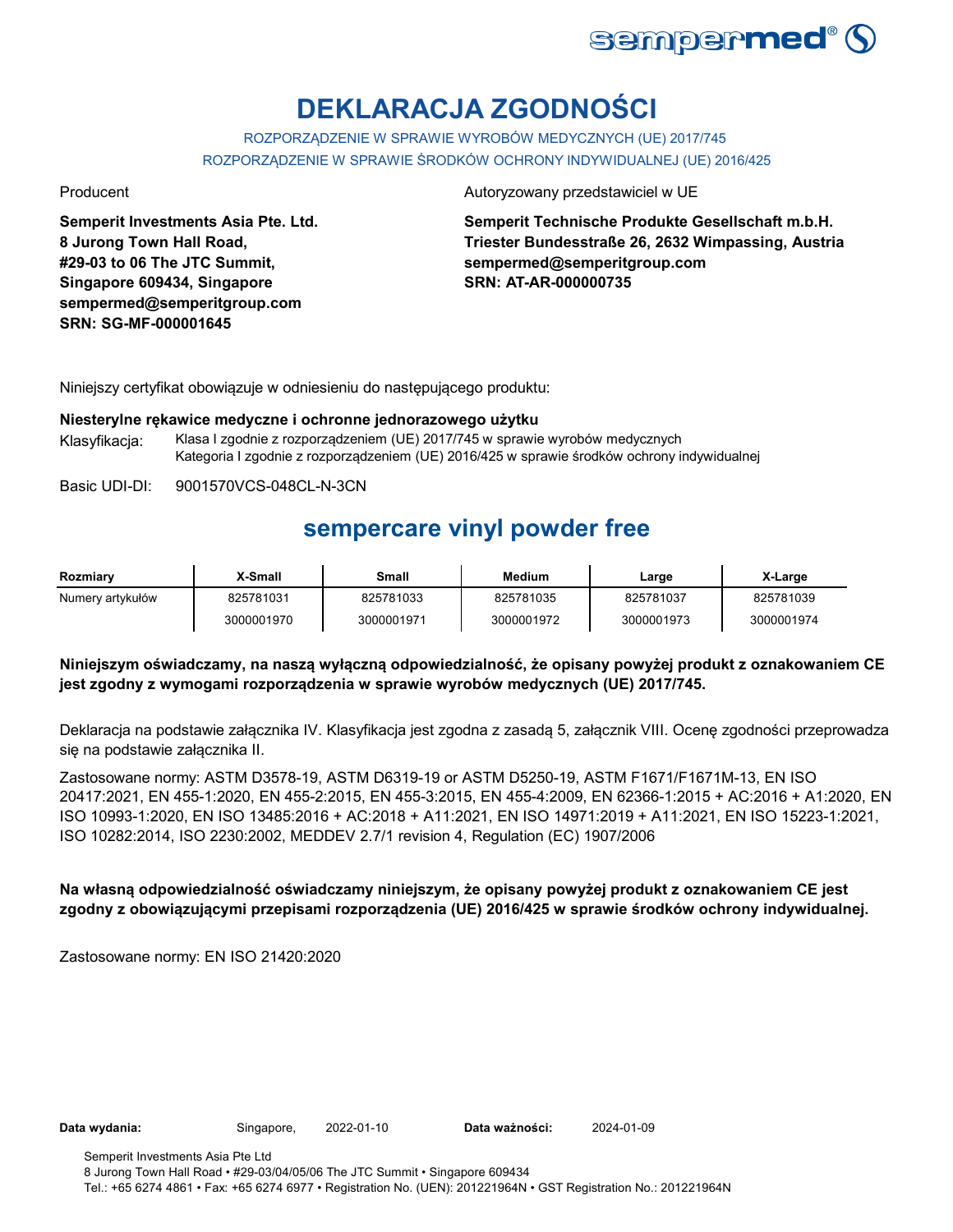

# **DEKLARACJA ZGODNOŚCI**

ROZPORZĄDZENIE W SPRAWIE WYROBÓW MEDYCZNYCH (UE) 2017/745 ROZPORZĄDZENIE W SPRAWIE ŚRODKÓW OCHRONY INDYWIDUALNEJ (UE) 2016/425

**Semperit Investments Asia Pte. Ltd. 8 Jurong Town Hall Road, #29-03 to 06 The JTC Summit, Singapore 609434, Singapore sempermed@semperitgroup.com SRN: SG-MF-000001645**

#### Producent Autoryzowany przedstawiciel w UE

**Semperit Technische Produkte Gesellschaft m.b.H. Triester Bundesstraße 26, 2632 Wimpassing, Austria sempermed@semperitgroup.com SRN: AT-AR-000000735**

Niniejszy certyfikat obowiązuje w odniesieniu do następującego produktu:

#### **Niesterylne rękawice medyczne i ochronne jednorazowego użytku**

Klasyfikacja: Klasa I zgodnie z rozporządzeniem (UE) 2017/745 w sprawie wyrobów medycznych Kategoria I zgodnie z rozporządzeniem (UE) 2016/425 w sprawie środków ochrony indywidualnej

Basic UDI-DI:  $9001570VCS-048CI - N-3CN$ 

### **sempercare vinyl powder free**

| Rozmiary         | ∡-Small    | Small      | <b>Medium</b> | Large      | X-Large    |
|------------------|------------|------------|---------------|------------|------------|
| Numery artykułów | 825781031  | 825781033  | 825781035     | 825781037  | 825781039  |
|                  | 3000001970 | 3000001971 | 3000001972    | 3000001973 | 3000001974 |

### **Niniejszym oświadczamy, na naszą wyłączną odpowiedzialność, że opisany powyżej produkt z oznakowaniem CE jest zgodny z wymogami rozporządzenia w sprawie wyrobów medycznych (UE) 2017/745.**

Deklaracja na podstawie załącznika IV. Klasyfikacja jest zgodna z zasadą 5, załącznik VIII. Ocenę zgodności przeprowadza się na podstawie załącznika II.

Zastosowane normy: ASTM D3578-19, ASTM D6319-19 or ASTM D5250-19, ASTM F1671/F1671M-13, EN ISO 20417:2021, EN 455-1:2020, EN 455-2:2015, EN 455-3:2015, EN 455-4:2009, EN 62366-1:2015 + AC:2016 + A1:2020, EN ISO 10993-1:2020, EN ISO 13485:2016 + AC:2018 + A11:2021, EN ISO 14971:2019 + A11:2021, EN ISO 15223-1:2021, ISO 10282:2014, ISO 2230:2002, MEDDEV 2.7/1 revision 4, Regulation (EC) 1907/2006

### **Na własną odpowiedzialność oświadczamy niniejszym, że opisany powyżej produkt z oznakowaniem CE jest zgodny z obowiązującymi przepisami rozporządzenia (UE) 2016/425 w sprawie środków ochrony indywidualnej.**

Zastosowane normy: EN ISO 21420:2020

Data wydania: Singapore, 2022-01-10

Data ważności: 2024-01-09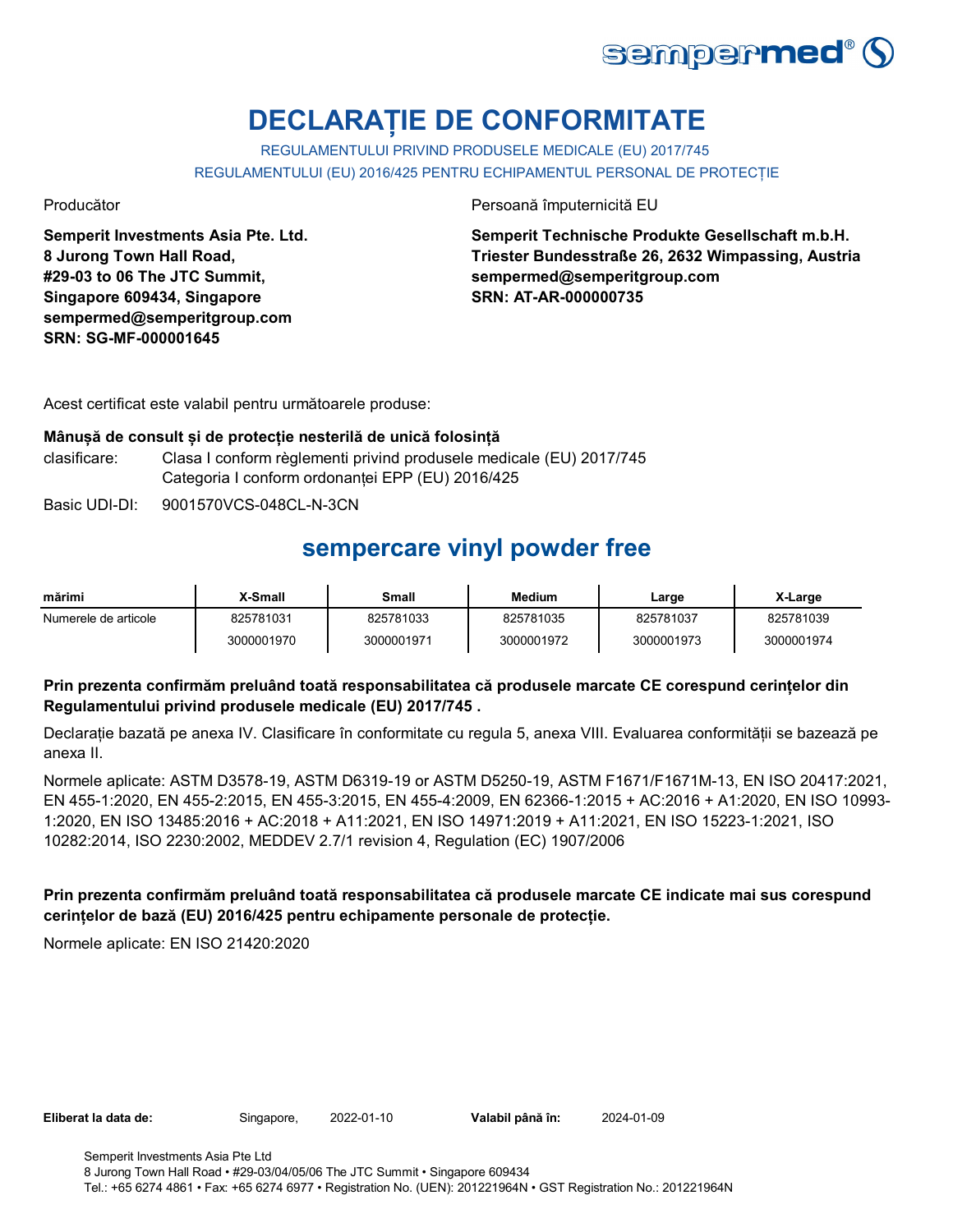

# **DECLARAȚIE DE CONFORMITATE**

REGULAMENTULUI PRIVIND PRODUSELE MEDICALE (EU) 2017/745 REGULAMENTULUI (EU) 2016/425 PENTRU ECHIPAMENTUL PERSONAL DE PROTECȚIE

**Semperit Investments Asia Pte. Ltd. 8 Jurong Town Hall Road, #29-03 to 06 The JTC Summit, Singapore 609434, Singapore sempermed@semperitgroup.com SRN: SG-MF-000001645**

Producător Persoană împuternicită EU

**Semperit Technische Produkte Gesellschaft m.b.H. Triester Bundesstraße 26, 2632 Wimpassing, Austria sempermed@semperitgroup.com SRN: AT-AR-000000735**

Acest certificat este valabil pentru următoarele produse:

#### **Mânușă de consult și de protecție nesterilă de unică folosință**

clasificare: Clasa I conform règlementi privind produsele medicale (EU) 2017/745 Categoria I conform ordonanței EPP (EU) 2016/425

Basic UDI-DI: 9001570VCS-048CL-N-3CN

## **sempercare vinyl powder free**

| mărimi               | X-Small    | Small      | <b>Medium</b> | Large      | X-Large    |
|----------------------|------------|------------|---------------|------------|------------|
| Numerele de articole | 825781031  | 825781033  | 825781035     | 825781037  | 825781039  |
|                      | 3000001970 | 3000001971 | 3000001972    | 3000001973 | 3000001974 |

### **Prin prezenta confirmăm preluând toată responsabilitatea că produsele marcate CE corespund cerințelor din Regulamentului privind produsele medicale (EU) 2017/745 .**

Declarație bazată pe anexa IV. Clasificare în conformitate cu regula 5, anexa VIII. Evaluarea conformității se bazează pe anexa II.

Normele aplicate: ASTM D3578-19, ASTM D6319-19 or ASTM D5250-19, ASTM F1671/F1671M-13, EN ISO 20417:2021, EN 455-1:2020, EN 455-2:2015, EN 455-3:2015, EN 455-4:2009, EN 62366-1:2015 + AC:2016 + A1:2020, EN ISO 10993- 1:2020, EN ISO 13485:2016 + AC:2018 + A11:2021, EN ISO 14971:2019 + A11:2021, EN ISO 15223-1:2021, ISO 10282:2014, ISO 2230:2002, MEDDEV 2.7/1 revision 4, Regulation (EC) 1907/2006

### **Prin prezenta confirmăm preluând toată responsabilitatea că produsele marcate CE indicate mai sus corespund cerințelor de bază (EU) 2016/425 pentru echipamente personale de protecție.**

Normele aplicate: EN ISO 21420:2020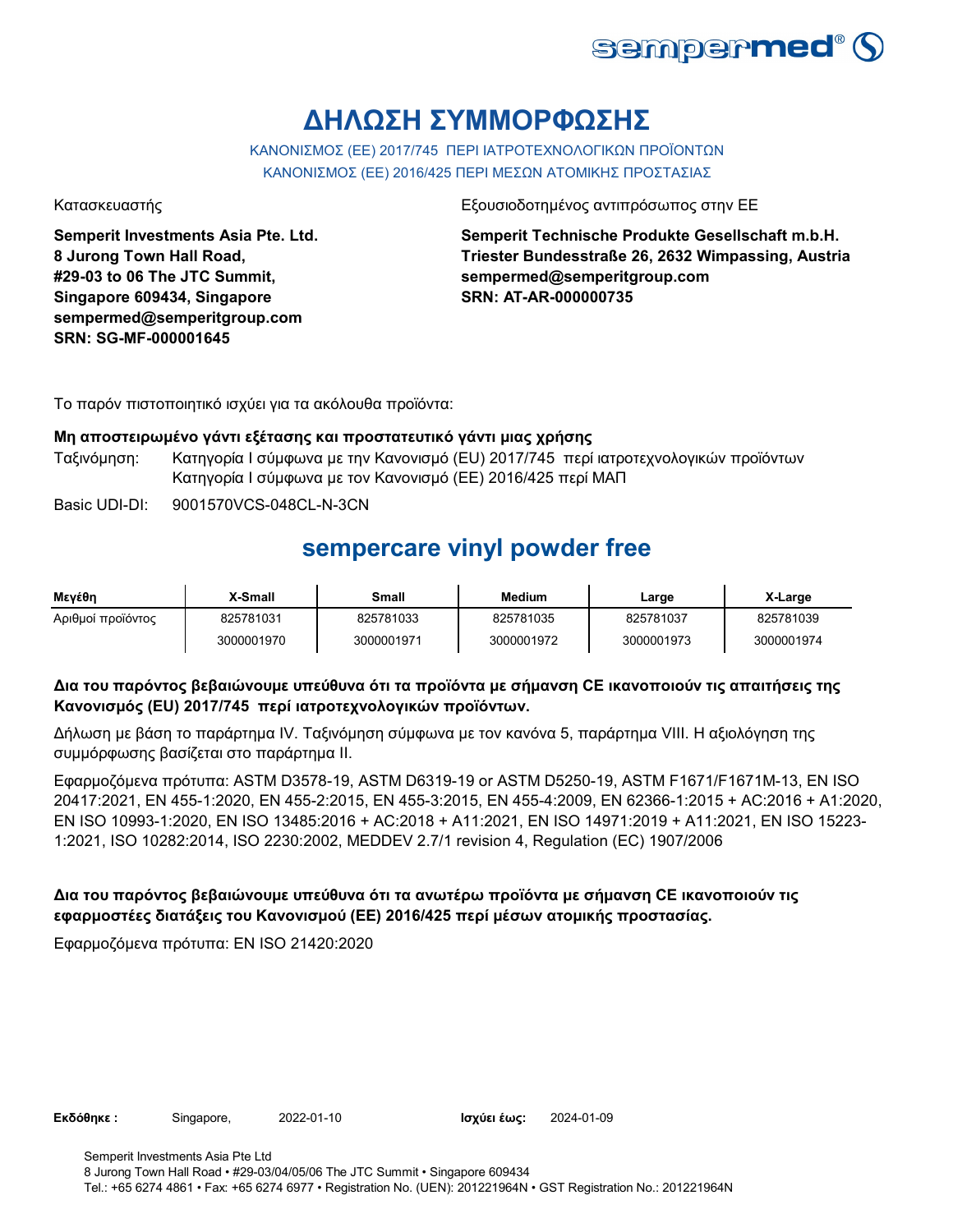

# **ΔΗΛΩΣΗ ΣΥΜΜΟΡΦΩΣΗΣ**

ΚΑΝΟΝΙΣΜΟΣ (EE) 2017/745 ΠΕΡΙ ΙΑΤΡΟΤΕΧΝΟΛΟΓΙΚΩΝ ΠΡΟΪΟΝΤΩΝ ΚΑΝΟΝΙΣΜΟΣ (ΕΕ) 2016/425 ΠΕΡΙ ΜΕΣΩΝ ΑΤΟΜΙΚΗΣ ΠΡΟΣΤΑΣΙΑΣ

**Semperit Investments Asia Pte. Ltd. 8 Jurong Town Hall Road, #29-03 to 06 The JTC Summit, Singapore 609434, Singapore sempermed@semperitgroup.com SRN: SG-MF-000001645**

Κατασκευαστής Εξουσιοδοτημένος αντιπρόσωπος στην ΕΕ

**Semperit Technische Produkte Gesellschaft m.b.H. Triester Bundesstraße 26, 2632 Wimpassing, Austria sempermed@semperitgroup.com SRN: AT-AR-000000735**

Το παρόν πιστοποιητικό ισχύει για τα ακόλουθα προϊόντα:

#### **Μη αποστειρωμένο γάντι εξέτασης και προστατευτικό γάντι μιας χρήσης**

- Ταξινόμηση: Κατηγορία I σύμφωνα με την Κανονισμό (EU) 2017/745 περί ιατροτεχνολογικών προϊόντων Κατηγορία I σύμφωνα με τον Κανονισμό (ΕΕ) 2016/425 περί ΜΑΠ
- Basic UDI-DI: 9001570VCS-048CL-N-3CN

### **sempercare vinyl powder free**

| Μενέθη            | X-Small    | Small      | <b>Medium</b> | Large      | X-Large    |
|-------------------|------------|------------|---------------|------------|------------|
| Αριθμοί προϊόντος | 825781031  | 825781033  | 825781035     | 825781037  | 825781039  |
|                   | 3000001970 | 3000001971 | 3000001972    | 3000001973 | 3000001974 |

### **Δια του παρόντος βεβαιώνουμε υπεύθυνα ότι τα προϊόντα με σήμανση CE ικανοποιούν τις απαιτήσεις της Κανονισμός (EU) 2017/745 περί ιατροτεχνολογικών προϊόντων.**

Δήλωση με βάση το παράρτημα IV. Ταξινόμηση σύμφωνα με τον κανόνα 5, παράρτημα VIII. Η αξιολόγηση της συμμόρφωσης βασίζεται στο παράρτημα II.

Εφαρμοζόμενα πρότυπα: ASTM D3578-19, ASTM D6319-19 or ASTM D5250-19, ASTM F1671/F1671M-13, EN ISO 20417:2021, EN 455-1:2020, EN 455-2:2015, EN 455-3:2015, EN 455-4:2009, EN 62366-1:2015 + AC:2016 + A1:2020, EN ISO 10993-1:2020, EN ISO 13485:2016 + AC:2018 + A11:2021, EN ISO 14971:2019 + A11:2021, EN ISO 15223- 1:2021, ISO 10282:2014, ISO 2230:2002, MEDDEV 2.7/1 revision 4, Regulation (EC) 1907/2006

### **Δια του παρόντος βεβαιώνουμε υπεύθυνα ότι τα ανωτέρω προϊόντα με σήμανση CE ικανοποιούν τις εφαρμοστέες διατάξεις του Κανονισμού (ΕΕ) 2016/425 περί μέσων ατομικής προστασίας.**

Εφαρμοζόμενα πρότυπα: EN ISO 21420:2020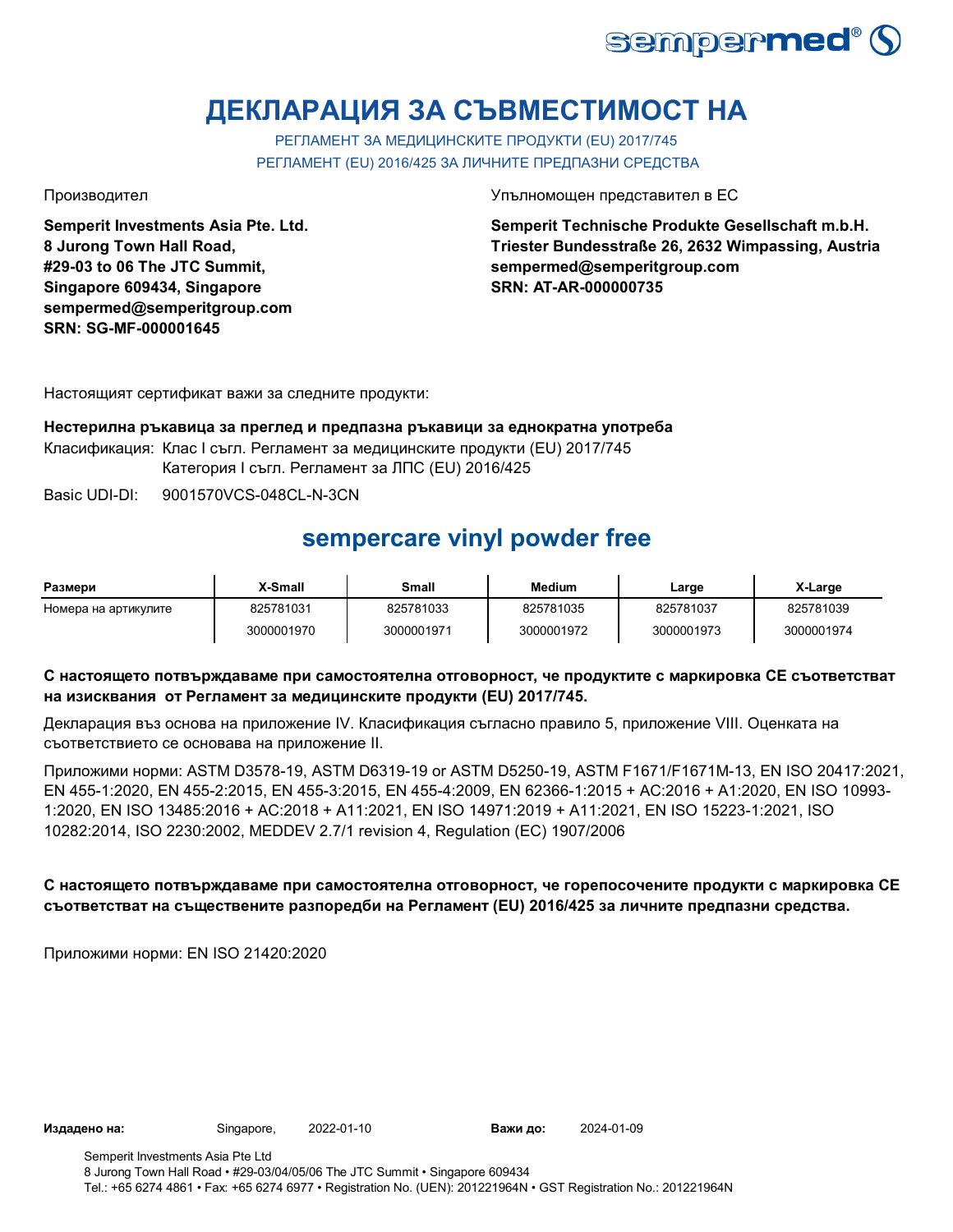

# **ДЕКЛАРАЦИЯ ЗА СЪВМЕСТИМОСТ НА**

РЕГЛАМЕНТ ЗА МЕДИЦИНСКИТЕ ПРОДУКТИ (EU) 2017/745 РЕГЛАМЕНТ (EU) 2016/425 ЗА ЛИЧНИТЕ ПРЕДПАЗНИ СРЕДСТВА

**Semperit Investments Asia Pte. Ltd. 8 Jurong Town Hall Road, #29-03 to 06 The JTC Summit, Singapore 609434, Singapore sempermed@semperitgroup.com SRN: SG-MF-000001645**

Производител Упълномощен представител в ЕС

**Semperit Technische Produkte Gesellschaft m.b.H. Triester Bundesstraße 26, 2632 Wimpassing, Austria sempermed@semperitgroup.com SRN: AT-AR-000000735**

Настоящият сертификат важи за следните продукти:

**Нестерилна ръкавица за преглед и предпазна ръкавици за еднократна употреба** Класификация: Клас I съгл. Регламент за медицинските продукти (EU) 2017/745 Категория I съгл. Регламент за ЛПС (EU) 2016/425

Basic UDI-DI: 9001570VCS-048CL-N-3CN

## **sempercare vinyl powder free**

| Размери              | X-Small    | Small      | Medium     | Large      | X-Large    |
|----------------------|------------|------------|------------|------------|------------|
| Номера на артикулите | 825781031  | 825781033  | 825781035  | 825781037  | 825781039  |
|                      | 3000001970 | 3000001971 | 3000001972 | 3000001973 | 3000001974 |

### **С настоящето потвърждаваме при самостоятелна отговорност, че продуктите с маркировка СЕ съответстват на изисквания от Регламент за медицинските продукти (EU) 2017/745.**

Декларация въз основа на приложение IV. Класификация съгласно правило 5, приложение VIII. Оценката на съответствието се основава на приложение II.

Приложими норми: ASTM D3578-19, ASTM D6319-19 or ASTM D5250-19, ASTM F1671/F1671M-13, EN ISO 20417:2021, EN 455-1:2020, EN 455-2:2015, EN 455-3:2015, EN 455-4:2009, EN 62366-1:2015 + AC:2016 + A1:2020, EN ISO 10993- 1:2020, EN ISO 13485:2016 + AC:2018 + A11:2021, EN ISO 14971:2019 + A11:2021, EN ISO 15223-1:2021, ISO 10282:2014, ISO 2230:2002, MEDDEV 2.7/1 revision 4, Regulation (EC) 1907/2006

### **С настоящето потвърждаваме при самостоятелна отговорност, че горепосочените продукти с маркировка СЕ съответстват на съществените разпоредби на Регламент (EU) 2016/425 за личните предпазни средства.**

Приложими норми: EN ISO 21420:2020

**Издадено на:** Singapore, **Важи до:**

2024-01-09